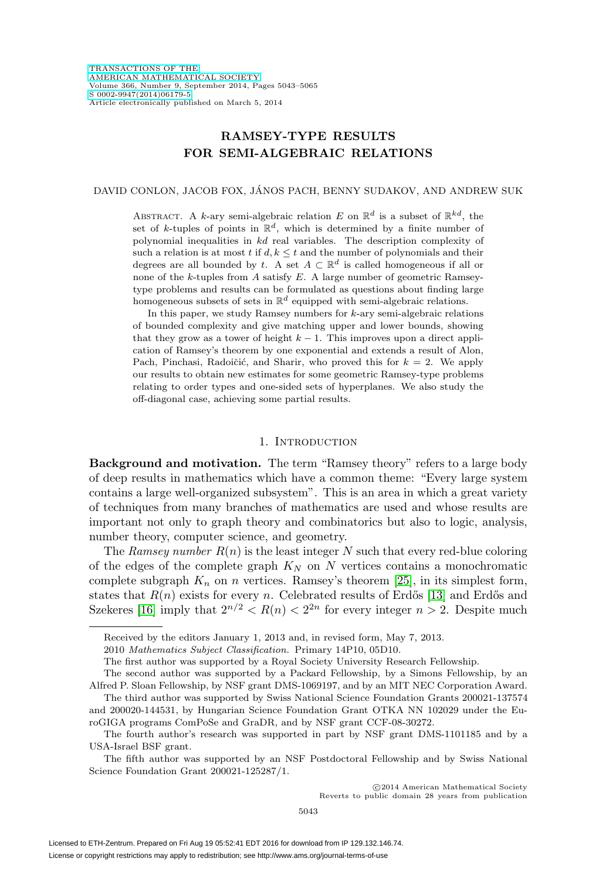# **RAMSEY-TYPE RESULTS FOR SEMI-ALGEBRAIC RELATIONS**

DAVID CONLON, JACOB FOX, JANOS PACH, BENNY SUDAKOV, AND ANDREW SUK ´

ABSTRACT. A k-ary semi-algebraic relation E on  $\mathbb{R}^d$  is a subset of  $\mathbb{R}^{kd}$ , the set of k-tuples of points in  $\mathbb{R}^d$ , which is determined by a finite number of polynomial inequalities in kd real variables. The description complexity of such a relation is at most  $t$  if  $d, k \leq t$  and the number of polynomials and their degrees are all bounded by t. A set  $A \subset \mathbb{R}^d$  is called homogeneous if all or none of the k-tuples from  $A$  satisfy  $E$ . A large number of geometric Ramseytype problems and results can be formulated as questions about finding large homogeneous subsets of sets in  $\mathbb{R}^d$  equipped with semi-algebraic relations.

In this paper, we study Ramsey numbers for  $k$ -ary semi-algebraic relations of bounded complexity and give matching upper and lower bounds, showing that they grow as a tower of height  $k - 1$ . This improves upon a direct application of Ramsey's theorem by one exponential and extends a result of Alon, Pach, Pinchasi, Radoičić, and Sharir, who proved this for  $k = 2$ . We apply our results to obtain new estimates for some geometric Ramsey-type problems relating to order types and one-sided sets of hyperplanes. We also study the off-diagonal case, achieving some partial results.

#### 1. INTRODUCTION

**Background and motivation.** The term "Ramsey theory" refers to a large body of deep results in mathematics which have a common theme: "Every large system contains a large well-organized subsystem". This is an area in which a great variety of techniques from many branches of mathematics are used and whose results are important not only to graph theory and combinatorics but also to logic, analysis, number theory, computer science, and geometry.

The Ramsey number  $R(n)$  is the least integer N such that every red-blue coloring of the edges of the complete graph  $K_N$  on N vertices contains a monochromatic complete subgraph  $K_n$  on n vertices. Ramsey's theorem [\[25\]](#page-21-0), in its simplest form, states that  $R(n)$  exists for every n. Celebrated results of Erdős [\[13\]](#page-21-1) and Erdős and Szekeres [\[16\]](#page-21-2) imply that  $2^{n/2} < R(n) < 2^{2n}$  for every integer  $n > 2$ . Despite much

Received by the editors January 1, 2013 and, in revised form, May 7, 2013.

<sup>2010</sup> Mathematics Subject Classification. Primary 14P10, 05D10.

The first author was supported by a Royal Society University Research Fellowship.

The second author was supported by a Packard Fellowship, by a Simons Fellowship, by an Alfred P. Sloan Fellowship, by NSF grant DMS-1069197, and by an MIT NEC Corporation Award.

The third author was supported by Swiss National Science Foundation Grants 200021-137574 and 200020-144531, by Hungarian Science Foundation Grant OTKA NN 102029 under the EuroGIGA programs ComPoSe and GraDR, and by NSF grant CCF-08-30272.

The fourth author's research was supported in part by NSF grant DMS-1101185 and by a USA-Israel BSF grant.

The fifth author was supported by an NSF Postdoctoral Fellowship and by Swiss National Science Foundation Grant 200021-125287/1.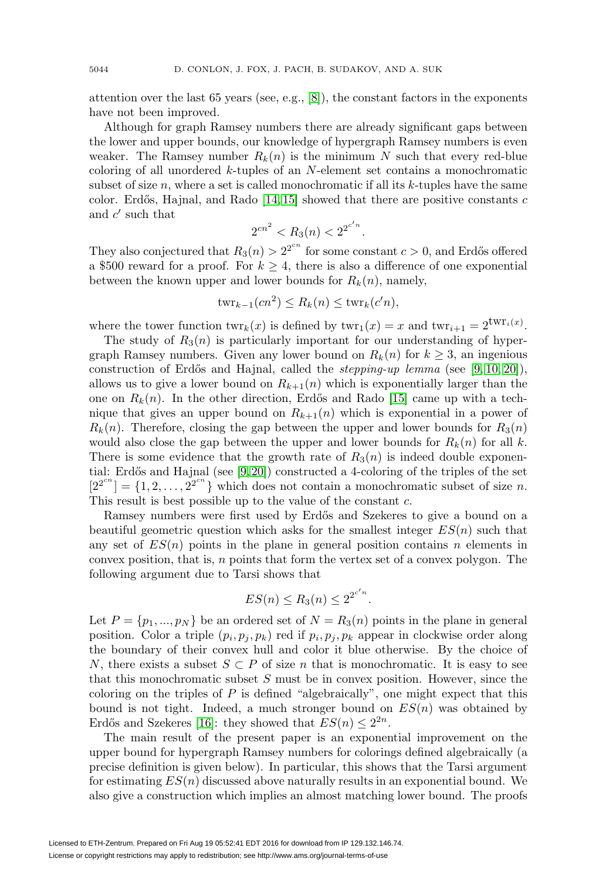attention over the last 65 years (see, e.g., [\[8\]](#page-21-3)), the constant factors in the exponents have not been improved.

Although for graph Ramsey numbers there are already significant gaps between the lower and upper bounds, our knowledge of hypergraph Ramsey numbers is even weaker. The Ramsey number  $R_k(n)$  is the minimum N such that every red-blue coloring of all unordered k-tuples of an N-element set contains a monochromatic subset of size  $n$ , where a set is called monochromatic if all its  $k$ -tuples have the same color. Erdős, Hajnal, and Rado  $[14, 15]$  $[14, 15]$  showed that there are positive constants c and  $c'$  such that

$$
2^{cn^2} < R_3(n) < 2^{2^{c'n}}.
$$

They also conjectured that  $R_3(n) > 2^{2^{cn}}$  for some constant  $c > 0$ , and Erdős offered a \$500 reward for a proof. For  $k \geq 4$ , there is also a difference of one exponential between the known upper and lower bounds for  $R_k(n)$ , namely,

$$
twr_{k-1}(cn^2) \le R_k(n) \le twr_k(c'n),
$$

where the tower function  $\text{twr}_k(x)$  is defined by  $\text{twr}_1(x) = x$  and  $\text{twr}_{i+1} = 2^{\text{twr}_i(x)}$ .

The study of  $R_3(n)$  is particularly important for our understanding of hypergraph Ramsey numbers. Given any lower bound on  $R_k(n)$  for  $k \geq 3$ , an ingenious construction of Erdős and Hajnal, called the *stepping-up lemma* (see [\[9,](#page-21-6) [10,](#page-21-7) [20\]](#page-21-8)), allows us to give a lower bound on  $R_{k+1}(n)$  which is exponentially larger than the one on  $R_k(n)$ . In the other direction, Erdős and Rado [\[15\]](#page-21-5) came up with a technique that gives an upper bound on  $R_{k+1}(n)$  which is exponential in a power of  $R_k(n)$ . Therefore, closing the gap between the upper and lower bounds for  $R_3(n)$ would also close the gap between the upper and lower bounds for  $R_k(n)$  for all k. There is some evidence that the growth rate of  $R_3(n)$  is indeed double exponential: Erdős and Hajnal (see  $[9, 20]$  $[9, 20]$ ) constructed a 4-coloring of the triples of the set  $[2^{2^{cn}}] = \{1, 2, ..., 2^{2^{cn}}\}$  which does not contain a monochromatic subset of size n. This result is best possible up to the value of the constant c.

Ramsey numbers were first used by Erdős and Szekeres to give a bound on a beautiful geometric question which asks for the smallest integer  $ES(n)$  such that any set of  $ES(n)$  points in the plane in general position contains n elements in convex position, that is,  $n$  points that form the vertex set of a convex polygon. The following argument due to Tarsi shows that

$$
ES(n) \leq R_3(n) \leq 2^{2^{c'n}}.
$$

Let  $P = \{p_1, ..., p_N\}$  be an ordered set of  $N = R_3(n)$  points in the plane in general position. Color a triple  $(p_i, p_j, p_k)$  red if  $p_i, p_j, p_k$  appear in clockwise order along the boundary of their convex hull and color it blue otherwise. By the choice of N, there exists a subset  $S \subset P$  of size n that is monochromatic. It is easy to see that this monochromatic subset S must be in convex position. However, since the coloring on the triples of  $P$  is defined "algebraically", one might expect that this bound is not tight. Indeed, a much stronger bound on  $ES(n)$  was obtained by Erdős and Szekeres [\[16\]](#page-21-2): they showed that  $ES(n) \leq 2^{2n}$ .

The main result of the present paper is an exponential improvement on the upper bound for hypergraph Ramsey numbers for colorings defined algebraically (a precise definition is given below). In particular, this shows that the Tarsi argument for estimating  $ES(n)$  discussed above naturally results in an exponential bound. We also give a construction which implies an almost matching lower bound. The proofs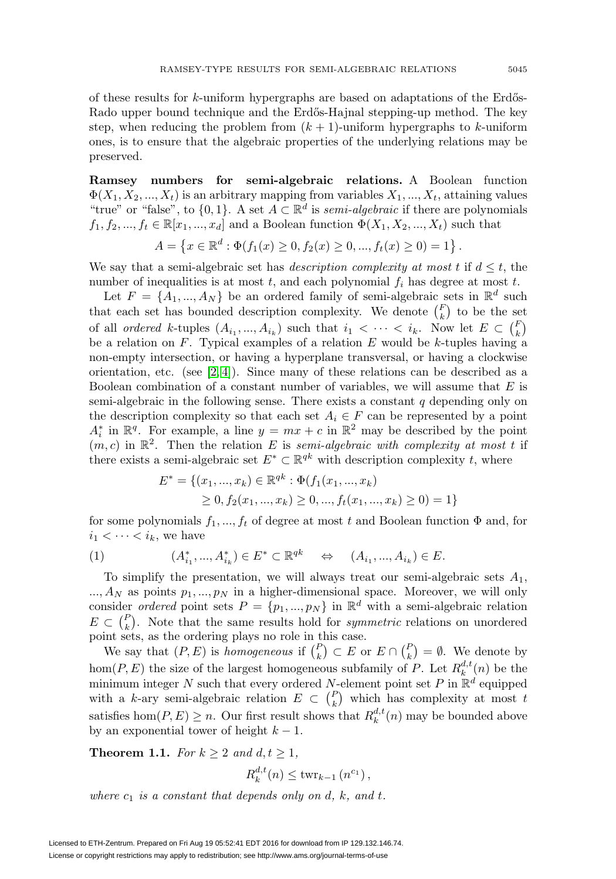of these results for  $k$ -uniform hypergraphs are based on adaptations of the Erdős-Rado upper bound technique and the Erdős-Hajnal stepping-up method. The key step, when reducing the problem from  $(k + 1)$ -uniform hypergraphs to k-uniform ones, is to ensure that the algebraic properties of the underlying relations may be preserved.

**Ramsey numbers for semi-algebraic relations.** A Boolean function  $\Phi(X_1, X_2, ..., X_t)$  is an arbitrary mapping from variables  $X_1, ..., X_t$ , attaining values "true" or "false", to  $\{0,1\}$ . A set  $A \subset \mathbb{R}^d$  is *semi-algebraic* if there are polynomials  $f_1, f_2, ..., f_t \in \mathbb{R}[x_1, ..., x_d]$  and a Boolean function  $\Phi(X_1, X_2, ..., X_t)$  such that

$$
A = \{x \in \mathbb{R}^d : \Phi(f_1(x) \ge 0, f_2(x) \ge 0, ..., f_t(x) \ge 0) = 1\}.
$$

We say that a semi-algebraic set has *description complexity at most t* if  $d \leq t$ , the number of inequalities is at most  $t$ , and each polynomial  $f_i$  has degree at most  $t$ .

Let  $F = \{A_1, ..., A_N\}$  be an ordered family of semi-algebraic sets in  $\mathbb{R}^d$  such that each set has bounded description complexity. We denote  $\binom{F}{k}$  to be the set of all ordered k-tuples  $(A_{i_1},..., A_{i_k})$  such that  $i_1 < \cdots < i_k$ . Now let  $E \subset {F \choose k}$ be a relation on  $F$ . Typical examples of a relation  $E$  would be k-tuples having a non-empty intersection, or having a hyperplane transversal, or having a clockwise orientation, etc. (see [\[2,](#page-20-0) [4\]](#page-21-9)). Since many of these relations can be described as a Boolean combination of a constant number of variables, we will assume that  $E$  is semi-algebraic in the following sense. There exists a constant  $q$  depending only on the description complexity so that each set  $A_i \in F$  can be represented by a point  $A_i^*$  in  $\mathbb{R}^q$ . For example, a line  $y = mx + c$  in  $\mathbb{R}^2$  may be described by the point  $(m, c)$  in  $\mathbb{R}^2$ . Then the relation E is semi-algebraic with complexity at most t if there exists a semi-algebraic set  $E^* \subset \mathbb{R}^{qk}$  with description complexity t, where

$$
E^* = \{(x_1, ..., x_k) \in \mathbb{R}^{qk} : \Phi(f_1(x_1, ..., x_k))
$$
  
\n
$$
\geq 0, f_2(x_1, ..., x_k) \geq 0, ..., f_t(x_1, ..., x_k) \geq 0) = 1\}
$$

for some polynomials  $f_1, ..., f_t$  of degree at most t and Boolean function  $\Phi$  and, for  $i_1 < \cdots < i_k$ , we have

$$
(1) \qquad (A^*_{i_1},...,A^*_{i_k}) \in E^* \subset \mathbb{R}^{qk} \qquad \Leftrightarrow \qquad (A_{i_1},...,A_{i_k}) \in E.
$$

To simplify the presentation, we will always treat our semi-algebraic sets  $A_1$ ,  $..., A_N$  as points  $p_1, ..., p_N$  in a higher-dimensional space. Moreover, we will only consider *ordered* point sets  $P = \{p_1, ..., p_N\}$  in  $\mathbb{R}^d$  with a semi-algebraic relation  $E \subset \binom{P}{k}$ . Note that the same results hold for *symmetric* relations on unordered point sets, as the ordering plays no role in this case.

We say that  $(P, E)$  is homogeneous if  $\binom{P}{k} \subset E$  or  $E \cap \binom{P}{k} = \emptyset$ . We denote by hom $(P, E)$  the size of the largest homogeneous subfamily of P. Let  $R_k^{d,t}(n)$  be the minimum integer N such that every ordered N-element point set P in  $\mathbb{R}^d$  equipped with a k-ary semi-algebraic relation  $E \subset {P \choose k}$  which has complexity at most t satisfies  $hom(P, E) \geq n$ . Our first result shows that  $R_k^{d,t}(n)$  may be bounded above by an exponential tower of height  $k-1$ .

<span id="page-2-0"></span>**Theorem 1.1.** For  $k \geq 2$  and  $d, t \geq 1$ ,

$$
R_k^{d,t}(n) \le \text{twr}_{k-1}(n^{c_1}),
$$

where  $c_1$  is a constant that depends only on d, k, and t.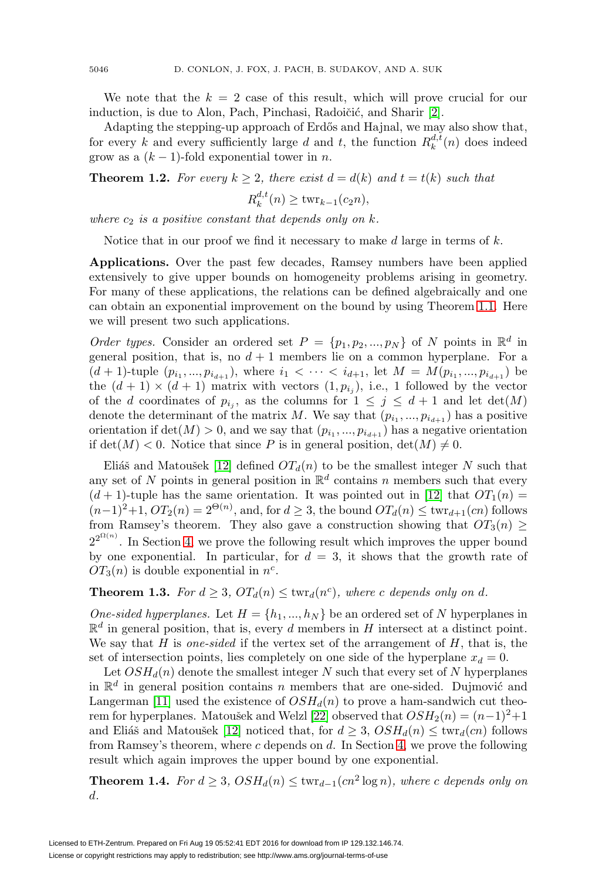We note that the  $k = 2$  case of this result, which will prove crucial for our induction, is due to Alon, Pach, Pinchasi, Radoičić, and Sharir [\[2\]](#page-20-0).

Adapting the stepping-up approach of Erdős and Hajnal, we may also show that, for every k and every sufficiently large d and t, the function  $R_k^{d,t}(n)$  does indeed grow as a  $(k-1)$ -fold exponential tower in *n*.

<span id="page-3-0"></span>**Theorem 1.2.** For every  $k > 2$ , there exist  $d = d(k)$  and  $t = t(k)$  such that

$$
R_k^{d,t}(n) \ge \text{twr}_{k-1}(c_2 n),
$$

where  $c_2$  is a positive constant that depends only on k.

Notice that in our proof we find it necessary to make  $d$  large in terms of  $k$ .

**Applications.** Over the past few decades, Ramsey numbers have been applied extensively to give upper bounds on homogeneity problems arising in geometry. For many of these applications, the relations can be defined algebraically and one can obtain an exponential improvement on the bound by using Theorem [1.1.](#page-2-0) Here we will present two such applications.

Order types. Consider an ordered set  $P = \{p_1, p_2, ..., p_N\}$  of N points in  $\mathbb{R}^d$  in general position, that is, no  $d + 1$  members lie on a common hyperplane. For a  $(d+1)$ -tuple  $(p_{i_1},...,p_{i_{d+1}})$ , where  $i_1 < \cdots < i_{d+1}$ , let  $M = M(p_{i_1},...,p_{i_{d+1}})$  be the  $(d + 1) \times (d + 1)$  matrix with vectors  $(1, p_{i_j})$ , i.e., 1 followed by the vector of the d coordinates of  $p_{i_j}$ , as the columns for  $1 \leq j \leq d+1$  and let  $\det(M)$ denote the determinant of the matrix M. We say that  $(p_{i_1},...,p_{i_{d+1}})$  has a positive orientation if  $\det(M) > 0$ , and we say that  $(p_{i_1}, ..., p_{i_{d+1}})$  has a negative orientation if  $\det(M) < 0$ . Notice that since P is in general position,  $\det(M) \neq 0$ .

Eliáš and Matoušek [\[12\]](#page-21-10) defined  $OT_d(n)$  to be the smallest integer N such that any set of N points in general position in  $\mathbb{R}^d$  contains n members such that every  $(d+1)$ -tuple has the same orientation. It was pointed out in [\[12\]](#page-21-10) that  $OT_1(n)$  =  $(n-1)^2+1$ ,  $OT_2(n) = 2^{\Theta(n)}$ , and, for  $d \geq 3$ , the bound  $OT_d(n) \leq \text{twr}_{d+1}(cn)$  follows from Ramsey's theorem. They also gave a construction showing that  $OT_3(n) \ge$  $2^{2^{\Omega(n)}}$ . In Section [4,](#page-13-0) we prove the following result which improves the upper bound by one exponential. In particular, for  $d = 3$ , it shows that the growth rate of  $OT_3(n)$  is double exponential in  $n^c$ .

<span id="page-3-1"></span>**Theorem 1.3.** For  $d \geq 3$ ,  $OT_d(n) \leq \text{twr}_d(n^c)$ , where c depends only on d.

One-sided hyperplanes. Let  $H = \{h_1, ..., h_N\}$  be an ordered set of N hyperplanes in  $\mathbb{R}^d$  in general position, that is, every d members in H intersect at a distinct point. We say that  $H$  is one-sided if the vertex set of the arrangement of  $H$ , that is, the set of intersection points, lies completely on one side of the hyperplane  $x_d = 0$ .

Let  $OSH_d(n)$  denote the smallest integer N such that every set of N hyperplanes in  $\mathbb{R}^d$  in general position contains n members that are one-sided. Dujmović and Langerman [\[11\]](#page-21-11) used the existence of  $OSH_d(n)$  to prove a ham-sandwich cut theo-rem for hyperplanes. Matoušek and Welzl [\[22\]](#page-21-12) observed that  $OSH_2(n)=(n-1)^2+1$ and Eliáš and Matoušek [\[12\]](#page-21-10) noticed that, for  $d \geq 3$ ,  $OSH_d(n) \leq \text{twr}_d(cn)$  follows from Ramsey's theorem, where c depends on  $d$ . In Section [4,](#page-13-0) we prove the following result which again improves the upper bound by one exponential.

<span id="page-3-2"></span>**Theorem 1.4.** For  $d \geq 3$ ,  $OSH_d(n) \leq \text{twr}_{d-1}(cn^2 \log n)$ , where c depends only on d.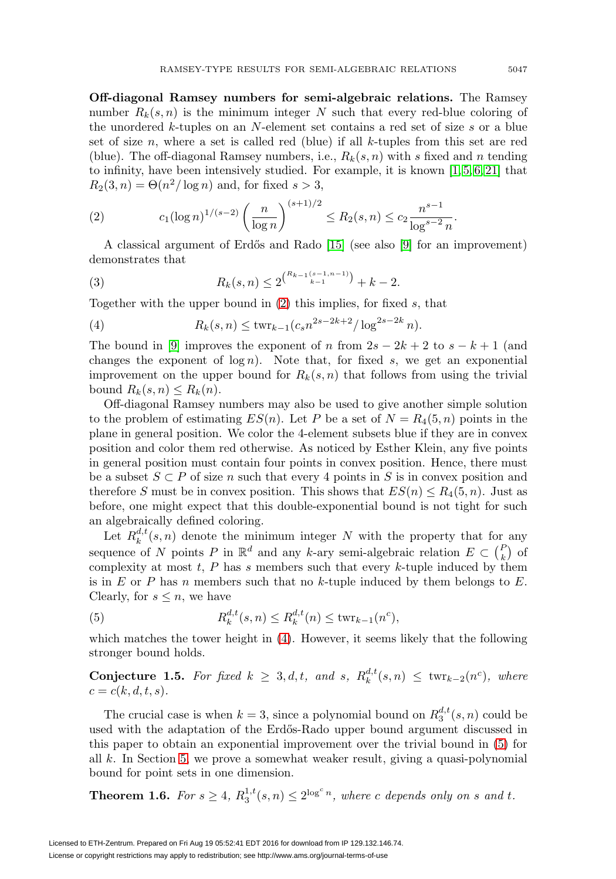**Off-diagonal Ramsey numbers for semi-algebraic relations.** The Ramsey number  $R_k(s, n)$  is the minimum integer N such that every red-blue coloring of the unordered k-tuples on an N-element set contains a red set of size s or a blue set of size n, where a set is called red (blue) if all  $k$ -tuples from this set are red (blue). The off-diagonal Ramsey numbers, i.e.,  $R_k(s, n)$  with s fixed and n tending to infinity, have been intensively studied. For example, it is known  $[1, 5, 6, 21]$  $[1, 5, 6, 21]$  $[1, 5, 6, 21]$  $[1, 5, 6, 21]$  that  $R_2(3, n) = \Theta(n^2/\log n)$  and, for fixed  $s > 3$ ,

<span id="page-4-0"></span>(2) 
$$
c_1(\log n)^{1/(s-2)}\left(\frac{n}{\log n}\right)^{(s+1)/2} \le R_2(s,n) \le c_2 \frac{n^{s-1}}{\log^{s-2} n}.
$$

A classical argument of Erdős and Rado  $[15]$  (see also  $[9]$  for an improvement) demonstrates that

(3) 
$$
R_k(s,n) \leq 2^{\binom{R_{k-1}(s-1,n-1)}{k-1}} + k - 2.
$$

Together with the upper bound in [\(2\)](#page-4-0) this implies, for fixed s, that

<span id="page-4-1"></span>(4) 
$$
R_k(s,n) \leq \text{twr}_{k-1}(c_s n^{2s-2k+2}/\log^{2s-2k} n).
$$

The bound in [\[9\]](#page-21-6) improves the exponent of n from  $2s - 2k + 2$  to  $s - k + 1$  (and changes the exponent of  $\log n$ ). Note that, for fixed s, we get an exponential improvement on the upper bound for  $R_k(s, n)$  that follows from using the trivial bound  $R_k(s, n) \leq R_k(n)$ .

Off-diagonal Ramsey numbers may also be used to give another simple solution to the problem of estimating  $ES(n)$ . Let P be a set of  $N = R_4(5, n)$  points in the plane in general position. We color the 4-element subsets blue if they are in convex position and color them red otherwise. As noticed by Esther Klein, any five points in general position must contain four points in convex position. Hence, there must be a subset  $S \subset P$  of size n such that every 4 points in S is in convex position and therefore S must be in convex position. This shows that  $ES(n) \leq R_4(5, n)$ . Just as before, one might expect that this double-exponential bound is not tight for such an algebraically defined coloring.

Let  $R_k^{d,t}(s,n)$  denote the minimum integer N with the property that for any sequence of N points P in  $\mathbb{R}^d$  and any k-ary semi-algebraic relation  $E \subset {P \choose k}$  of complexity at most  $t$ , P has s members such that every k-tuple induced by them is in E or P has n members such that no k-tuple induced by them belongs to E. Clearly, for  $s \leq n$ , we have

<span id="page-4-2"></span>(5) 
$$
R_k^{d,t}(s,n) \le R_k^{d,t}(n) \le \text{twr}_{k-1}(n^c),
$$

which matches the tower height in [\(4\)](#page-4-1). However, it seems likely that the following stronger bound holds.

**Conjecture** 1.5. For fixed  $k \geq 3, d, t$ , and  $s$ ,  $R_k^{d,t}(s,n) \leq \text{twr}_{k-2}(n^c)$ , where  $c = c(k, d, t, s).$ 

The crucial case is when  $k = 3$ , since a polynomial bound on  $R_3^{d,t}(s,n)$  could be used with the adaptation of the Erdős-Rado upper bound argument discussed in this paper to obtain an exponential improvement over the trivial bound in [\(5\)](#page-4-2) for all k. In Section [5,](#page-14-0) we prove a somewhat weaker result, giving a quasi-polynomial bound for point sets in one dimension.

<span id="page-4-3"></span>**Theorem 1.6.** For  $s \geq 4$ ,  $R_3^{1,t}(s,n) \leq 2^{\log^c n}$ , where c depends only on s and t.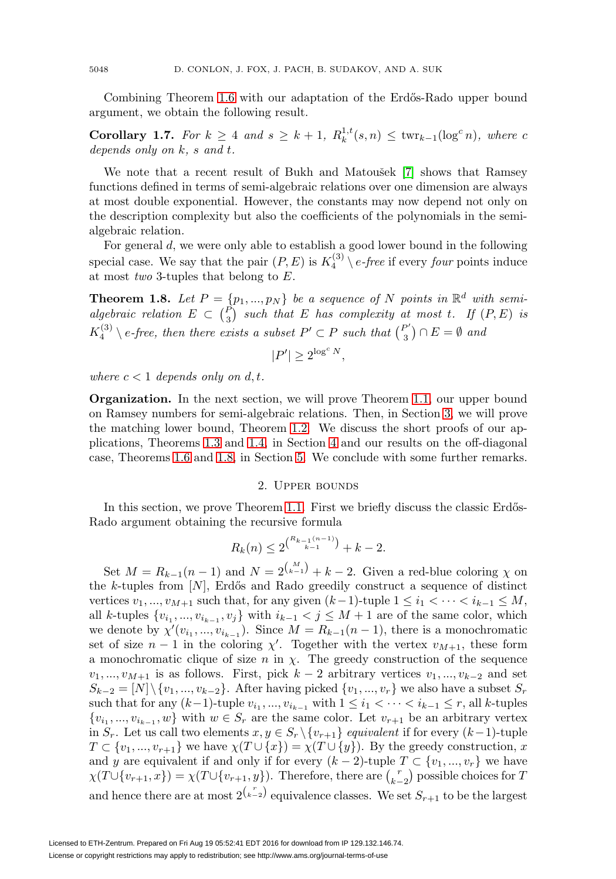Combining Theorem [1.6](#page-4-3) with our adaptation of the Erdős-Rado upper bound argument, we obtain the following result.

**Corollary 1.7.** For  $k \geq 4$  and  $s \geq k+1$ ,  $R_k^{1,t}(s,n) \leq \text{twr}_{k-1}(\log^c n)$ , where c depends only on k, s and t.

We note that a recent result of Bukh and Matou $\check{\;}$ ek [\[7\]](#page-21-16) shows that Ramsey functions defined in terms of semi-algebraic relations over one dimension are always at most double exponential. However, the constants may now depend not only on the description complexity but also the coefficients of the polynomials in the semialgebraic relation.

For general d, we were only able to establish a good lower bound in the following special case. We say that the pair  $(P, E)$  is  $K_4^{(3)} \setminus e$ -free if every four points induce at most *two* 3-tuples that belong to  $E$ .

<span id="page-5-0"></span>**Theorem 1.8.** Let  $P = \{p_1, ..., p_N\}$  be a sequence of N points in  $\mathbb{R}^d$  with semialgebraic relation  $E \subset {P \choose 3}$  such that E has complexity at most t. If  $(P, E)$  is  $K_4^{(3)} \setminus e$ -free, then there exists a subset  $P' \subset P$  such that  $\binom{P'}{3} \cap E = \emptyset$  and

$$
|P'| \ge 2^{\log^c N},
$$

where  $c < 1$  depends only on d, t.

**Organization.** In the next section, we will prove Theorem [1.1,](#page-2-0) our upper bound on Ramsey numbers for semi-algebraic relations. Then, in Section [3,](#page-8-0) we will prove the matching lower bound, Theorem [1.2.](#page-3-0) We discuss the short proofs of our applications, Theorems [1.3](#page-3-1) and [1.4,](#page-3-2) in Section [4](#page-13-0) and our results on the off-diagonal case, Theorems [1.6](#page-4-3) and [1.8,](#page-5-0) in Section [5.](#page-14-0) We conclude with some further remarks.

#### 2. Upper bounds

In this section, we prove Theorem [1.1.](#page-2-0) First we briefly discuss the classic Erdős-Rado argument obtaining the recursive formula

$$
R_k(n) \le 2^{\binom{R_{k-1}(n-1)}{k-1}} + k - 2.
$$

Set  $M = R_{k-1}(n-1)$  and  $N = 2^{\binom{M}{k-1}} + k - 2$ . Given a red-blue coloring  $\chi$  on the k-tuples from  $[N]$ , Erdős and Rado greedily construct a sequence of distinct vertices  $v_1, ..., v_{M+1}$  such that, for any given  $(k-1)$ -tuple  $1 \leq i_1 < \cdots < i_{k-1} \leq M$ , all k-tuples  $\{v_{i_1},...,v_{i_{k-1}},v_j\}$  with  $i_{k-1} < j \leq M+1$  are of the same color, which we denote by  $\chi'(v_{i_1},...,v_{i_{k-1}})$ . Since  $M = R_{k-1}(n-1)$ , there is a monochromatic set of size  $n-1$  in the coloring  $\chi'$ . Together with the vertex  $v_{M+1}$ , these form a monochromatic clique of size n in  $\chi$ . The greedy construction of the sequence  $v_1, ..., v_{M+1}$  is as follows. First, pick  $k-2$  arbitrary vertices  $v_1, ..., v_{k-2}$  and set  $S_{k-2} = [N] \setminus \{v_1, ..., v_{k-2}\}.$  After having picked  $\{v_1, ..., v_r\}$  we also have a subset  $S_r$ such that for any  $(k-1)$ -tuple  $v_{i_1}, ..., v_{i_{k-1}}$  with  $1 \leq i_1 < \cdots < i_{k-1} \leq r$ , all k-tuples  $\{v_{i_1},...,v_{i_{k-1}},w\}$  with  $w \in S_r$  are the same color. Let  $v_{r+1}$  be an arbitrary vertex in  $S_r$ . Let us call two elements  $x, y \in S_r \setminus \{v_{r+1}\}\$ equivalent if for every  $(k-1)$ -tuple  $T \subset \{v_1, ..., v_{r+1}\}$  we have  $\chi(T \cup \{x\}) = \chi(T \cup \{y\})$ . By the greedy construction, x and y are equivalent if and only if for every  $(k-2)$ -tuple  $T \subset \{v_1, ..., v_r\}$  we have  $\chi(T\cup \{v_{r+1},x\}) = \chi(T\cup \{v_{r+1},y\})$ . Therefore, there are  $\binom{r}{k-2}$  possible choices for T and hence there are at most  $2^{\binom{r}{k-2}}$  equivalence classes. We set  $S_{r+1}$  to be the largest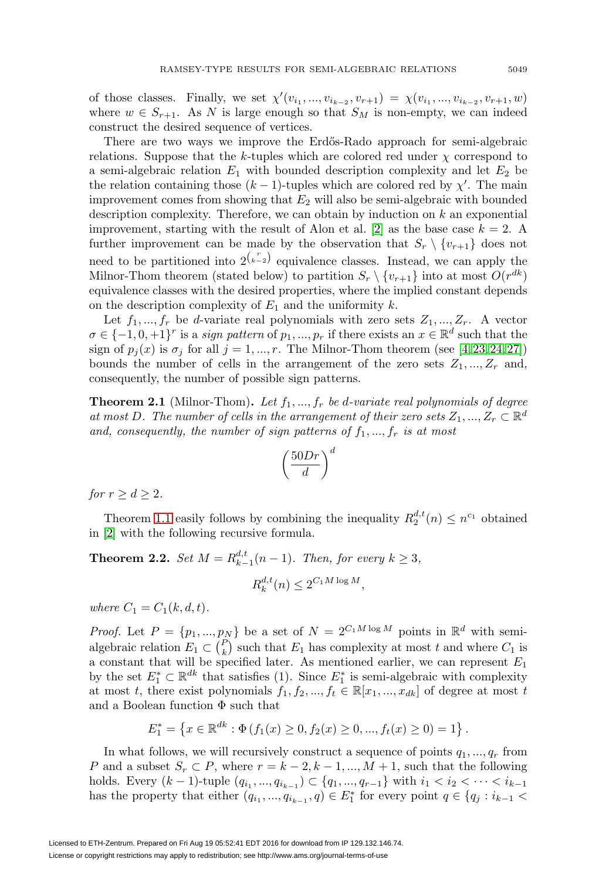of those classes. Finally, we set  $\chi'(v_{i_1}, ..., v_{i_{k-2}}, v_{r+1}) = \chi(v_{i_1}, ..., v_{i_{k-2}}, v_{r+1}, w)$ where  $w \in S_{r+1}$ . As N is large enough so that  $S_M$  is non-empty, we can indeed construct the desired sequence of vertices.

There are two ways we improve the Erd˝os-Rado approach for semi-algebraic relations. Suppose that the k-tuples which are colored red under  $\chi$  correspond to a semi-algebraic relation  $E_1$  with bounded description complexity and let  $E_2$  be the relation containing those  $(k-1)$ -tuples which are colored red by  $\chi'$ . The main improvement comes from showing that  $E_2$  will also be semi-algebraic with bounded description complexity. Therefore, we can obtain by induction on  $k$  an exponential improvement, starting with the result of Alon et al. [\[2\]](#page-20-0) as the base case  $k = 2$ . A further improvement can be made by the observation that  $S_r \setminus \{v_{r+1}\}\)$  does not need to be partitioned into  $2^{r \choose k-2}$  equivalence classes. Instead, we can apply the Milnor-Thom theorem (stated below) to partition  $S_r \setminus \{v_{r+1}\}\$ into at most  $O(r^{dk})$ equivalence classes with the desired properties, where the implied constant depends on the description complexity of  $E_1$  and the uniformity k.

Let  $f_1, ..., f_r$  be d-variate real polynomials with zero sets  $Z_1, ..., Z_r$ . A vector  $\sigma \in \{-1, 0, +1\}^r$  is a *sign pattern* of  $p_1, ..., p_r$  if there exists an  $x \in \mathbb{R}^d$  such that the sign of  $p_i(x)$  is  $\sigma_i$  for all  $j = 1, ..., r$ . The Milnor-Thom theorem (see [\[4,](#page-21-9) [23,](#page-21-17) [24,](#page-21-18) [27\]](#page-22-0)) bounds the number of cells in the arrangement of the zero sets  $Z_1, ..., Z_r$  and, consequently, the number of possible sign patterns.

**Theorem 2.1** (Milnor-Thom). Let  $f_1, ..., f_r$  be d-variate real polynomials of degree at most D. The number of cells in the arrangement of their zero sets  $Z_1, ..., Z_r \subset \mathbb{R}^d$ and, consequently, the number of sign patterns of  $f_1, ..., f_r$  is at most

$$
\left(\frac{50Dr}{d}\right)^d
$$

for  $r \geq d \geq 2$ .

Theorem [1.1](#page-2-0) easily follows by combining the inequality  $R_2^{d,t}(n) \leq n^{c_1}$  obtained in [\[2\]](#page-20-0) with the following recursive formula.

<span id="page-6-0"></span>**Theorem 2.2.** Set  $M = R_{k-1}^{d,t}(n-1)$ . Then, for every  $k \geq 3$ ,

$$
R_k^{d,t}(n) \le 2^{C_1 M \log M},
$$

where  $C_1 = C_1(k, d, t)$ .

*Proof.* Let  $P = \{p_1, ..., p_N\}$  be a set of  $N = 2^{C_1 M \log M}$  points in  $\mathbb{R}^d$  with semialgebraic relation  $E_1 \subset {P \choose k}$  such that  $E_1$  has complexity at most t and where  $C_1$  is a constant that will be specified later. As mentioned earlier, we can represent  $E_1$ by the set  $E_1^* \subset \mathbb{R}^{dk}$  that satisfies (1). Since  $E_1^*$  is semi-algebraic with complexity at most t, there exist polynomials  $f_1, f_2, ..., f_t \in \mathbb{R}[x_1, ..., x_{dk}]$  of degree at most t and a Boolean function  $\Phi$  such that

$$
E_1^* = \left\{ x \in \mathbb{R}^{dk} : \Phi\left(f_1(x) \ge 0, f_2(x) \ge 0, ..., f_t(x) \ge 0\right) = 1 \right\}
$$

.

In what follows, we will recursively construct a sequence of points  $q_1, ..., q_r$  from P and a subset  $S_r \subset P$ , where  $r = k - 2, k - 1, ..., M + 1$ , such that the following holds. Every  $(k-1)$ -tuple  $(q_{i_1}, ..., q_{i_{k-1}}) \subset \{q_1, ..., q_{r-1}\}$  with  $i_1 < i_2 < \cdots < i_{k-1}$ has the property that either  $(q_{i_1}, ..., q_{i_{k-1}}, q) \in E_1^*$  for every point  $q \in \{q_j : i_{k-1}$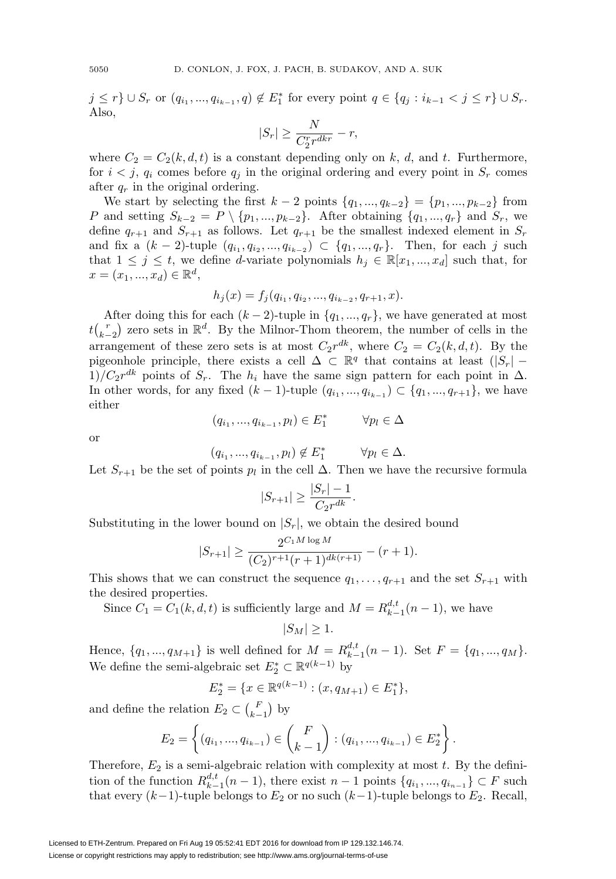$j \leq r$   $\} \cup S_r$  or  $(q_{i_1}, ..., q_{i_{k-1}}, q) \notin E_1^*$  for every point  $q \in \{q_j : i_{k-1} < j \leq r\} \cup S_r$ . Also,

$$
|S_r| \ge \frac{N}{C_2^r r^{dkr}} - r,
$$

where  $C_2 = C_2(k, d, t)$  is a constant depending only on k, d, and t. Furthermore, for  $i < j$ ,  $q_i$  comes before  $q_j$  in the original ordering and every point in  $S_r$  comes after  $q_r$  in the original ordering.

We start by selecting the first  $k-2$  points  $\{q_1, ..., q_{k-2}\} = \{p_1, ..., p_{k-2}\}\$ from P and setting  $S_{k-2} = P \setminus \{p_1, ..., p_{k-2}\}.$  After obtaining  $\{q_1, ..., q_r\}$  and  $S_r$ , we define  $q_{r+1}$  and  $S_{r+1}$  as follows. Let  $q_{r+1}$  be the smallest indexed element in  $S_r$ and fix a  $(k-2)$ -tuple  $(q_{i_1}, q_{i_2}, ..., q_{i_{k-2}}) \subset \{q_1, ..., q_r\}$ . Then, for each j such that  $1 \leq j \leq t$ , we define *d*-variate polynomials  $h_j \in \mathbb{R}[x_1, ..., x_d]$  such that, for  $x = (x_1, ..., x_d) \in \mathbb{R}^d$ ,

$$
h_j(x) = f_j(q_{i_1}, q_{i_2}, \dots, q_{i_{k-2}}, q_{r+1}, x).
$$

After doing this for each  $(k-2)$ -tuple in  $\{q_1, ..., q_r\}$ , we have generated at most  $tbinn{r}{k-2}$  zero sets in  $\mathbb{R}^d$ . By the Milnor-Thom theorem, the number of cells in the arrangement of these zero sets is at most  $C_2r^{dk}$ , where  $C_2 = C_2(k, d, t)$ . By the pigeonhole principle, there exists a cell  $\Delta \subset \mathbb{R}^q$  that contains at least  $(|S_r| 1)/C_2r^{dk}$  points of  $S_r$ . The  $h_i$  have the same sign pattern for each point in  $\Delta$ . In other words, for any fixed  $(k-1)$ -tuple  $(q_{i_1}, ..., q_{i_{k-1}})$  ⊂  $\{q_1, ..., q_{r+1}\}$ , we have either

$$
(q_{i_1},...,q_{i_{k-1}},p_l) \in E_1^* \qquad \forall p_l \in \Delta
$$

or

$$
(q_{i_1},...,q_{i_{k-1}},p_l) \notin E_1^* \qquad \forall p_l \in \Delta.
$$

Let  $S_{r+1}$  be the set of points  $p_l$  in the cell  $\Delta$ . Then we have the recursive formula

$$
|S_{r+1}| \ge \frac{|S_r| - 1}{C_2 r^{dk}}.
$$

Substituting in the lower bound on  $|S_r|$ , we obtain the desired bound

$$
|S_{r+1}| \ge \frac{2^{C_1 M \log M}}{(C_2)^{r+1} (r+1)^{dk(r+1)}} - (r+1).
$$

This shows that we can construct the sequence  $q_1, \ldots, q_{r+1}$  and the set  $S_{r+1}$  with the desired properties.

Since  $C_1 = C_1(k, d, t)$  is sufficiently large and  $M = R_{k-1}^{d,t}(n-1)$ , we have

$$
|S_M| \ge 1.
$$

Hence,  $\{q_1, ..., q_{M+1}\}\$ is well defined for  $M = R_{k-1}^{d,t}(n-1)$ . Set  $F = \{q_1, ..., q_M\}$ . We define the semi-algebraic set  $E_2^* \subset \mathbb{R}^{q(k-1)}$  by

$$
E_2^* = \{ x \in \mathbb{R}^{q(k-1)} : (x, q_{M+1}) \in E_1^* \},
$$

and define the relation  $E_2 \subset \binom{F}{k-1}$  by

$$
E_2 = \left\{ (q_{i_1}, ..., q_{i_{k-1}}) \in {F \choose k-1} : (q_{i_1}, ..., q_{i_{k-1}}) \in E_2^* \right\}.
$$

Therefore,  $E_2$  is a semi-algebraic relation with complexity at most  $t$ . By the definition of the function  $R_{k-1}^{d,t}(n-1)$ , there exist  $n-1$  points  $\{q_{i_1},...,q_{i_{n-1}}\} \subset F$  such that every  $(k-1)$ -tuple belongs to  $E_2$  or no such  $(k-1)$ -tuple belongs to  $E_2$ . Recall,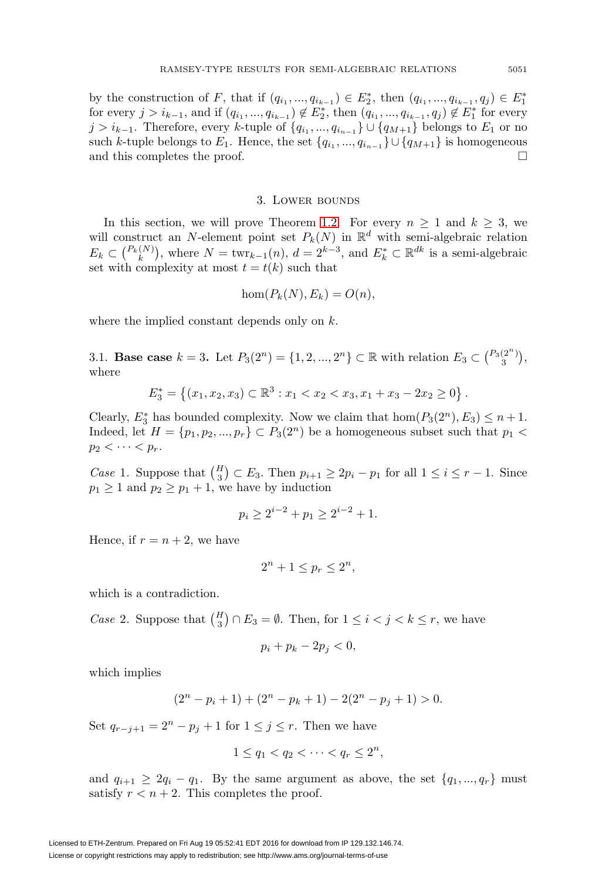by the construction of F, that if  $(q_{i_1}, ..., q_{i_{k-1}}) \in E_2^*$ , then  $(q_{i_1}, ..., q_{i_{k-1}}, q_j) \in E_1^*$ for every  $j>i_{k-1}$ , and if  $(q_{i_1}, ..., q_{i_{k-1}}) \notin E_2^*$ , then  $(q_{i_1}, ..., q_{i_{k-1}}, q_j) \notin E_1^*$  for every j >  $i_{k-1}$ . Therefore, every k-tuple of  $\{q_{i_1},...,q_{i_{n-1}}\}\cup\{q_{M+1}\}$  belongs to  $E_1$  or no such k-tuple belongs to  $E_1$ . Hence, the set  $\{q_{i_1}, ..., q_{i_{n-1}}\} \cup \{q_{M+1}\}\$ is homogeneous and this completes the proof.  $\Box$ 

#### 3. LOWER BOUNDS

<span id="page-8-0"></span>In this section, we will prove Theorem [1.2.](#page-3-0) For every  $n \geq 1$  and  $k \geq 3$ , we will construct an N-element point set  $P_k(N)$  in  $\mathbb{R}^d$  with semi-algebraic relation  $E_k \subset {P_k(N) \choose k}$ , where  $N = \text{twr}_{k-1}(n)$ ,  $d = 2^{k-3}$ , and  $E_k^* \subset \mathbb{R}^{dk}$  is a semi-algebraic set with complexity at most  $t = t(k)$  such that

$$
\hom(P_k(N), E_k) = O(n),
$$

where the implied constant depends only on k.

<span id="page-8-1"></span>3.1. **Base case**  $k = 3$ . Let  $P_3(2^n) = \{1, 2, ..., 2^n\} \subset \mathbb{R}$  with relation  $E_3 \subset {P_3(2^n)}$ , where

$$
E_3^* = \{(x_1, x_2, x_3) \subset \mathbb{R}^3 : x_1 < x_2 < x_3, x_1 + x_3 - 2x_2 \ge 0\}.
$$

Clearly,  $E_3^*$  has bounded complexity. Now we claim that  $hom(P_3(2^n), E_3) \leq n+1$ . Indeed, let  $H = \{p_1, p_2, ..., p_r\} \subset P_3(2^n)$  be a homogeneous subset such that  $p_1$  $p_2 < \cdots < p_r$ .

Case 1. Suppose that  $\binom{H}{3} \subset E_3$ . Then  $p_{i+1} \geq 2p_i - p_1$  for all  $1 \leq i \leq r - 1$ . Since  $p_1 \geq 1$  and  $p_2 \geq p_1 + 1$ , we have by induction

$$
p_i \ge 2^{i-2} + p_1 \ge 2^{i-2} + 1.
$$

Hence, if  $r = n + 2$ , we have

$$
2^n + 1 \le p_r \le 2^n,
$$

which is a contradiction.

Case 2. Suppose that  $\binom{H}{3} \cap E_3 = \emptyset$ . Then, for  $1 \leq i < j < k \leq r$ , we have

$$
p_i + p_k - 2p_j < 0,
$$

which implies

$$
(2n - pi + 1) + (2n - pk + 1) - 2(2n - pj + 1) > 0.
$$

Set  $q_{r-j+1} = 2^n - p_j + 1$  for  $1 \leq j \leq r$ . Then we have

$$
1 \le q_1 < q_2 < \cdots < q_r \le 2^n,
$$

and  $q_{i+1} \geq 2q_i - q_1$ . By the same argument as above, the set  $\{q_1, ..., q_r\}$  must satisfy  $r < n + 2$ . This completes the proof.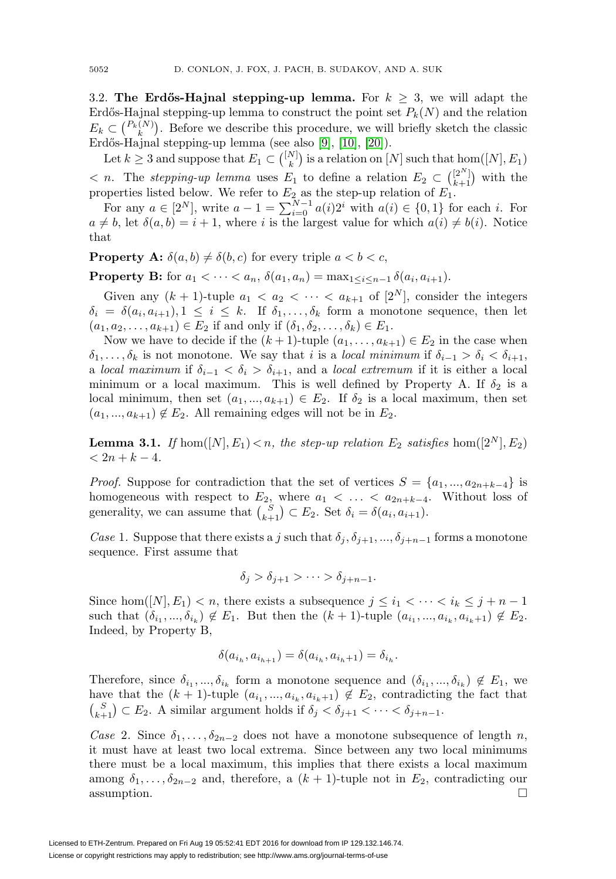<span id="page-9-1"></span>3.2. **The Erdős-Hajnal stepping-up lemma.** For  $k > 3$ , we will adapt the Erdős-Hajnal stepping-up lemma to construct the point set  $P_k(N)$  and the relation  $E_k \subset \binom{P_k(N)}{k}$ . Before we describe this procedure, we will briefly sketch the classic Erdős-Hajnal stepping-up lemma (see also [\[9\]](#page-21-6), [\[10\]](#page-21-7), [\[20\]](#page-21-8)).

Let  $k \geq 3$  and suppose that  $E_1 \subset \binom{[N]}{k}$  is a relation on  $[N]$  such that  $\text{hom}([N], E_1)$  $\langle n\rangle$ . The stepping-up lemma uses  $E_1$  to define a relation  $E_2 \subset \binom{[2^N]}{k+1}$  with the properties listed below. We refer to  $E_2$  as the step-up relation of  $E_1$ .

For any  $a \in [2^N]$ , write  $a - 1 = \sum_{i=0}^{N-1} a(i)2^i$  with  $a(i) \in \{0, 1\}$  for each i. For  $a \neq b$ , let  $\delta(a, b) = i + 1$ , where i is the largest value for which  $a(i) \neq b(i)$ . Notice that

**Property A:**  $\delta(a, b) \neq \delta(b, c)$  for every triple  $a < b < c$ ,

**Property B:** for  $a_1 < \cdots < a_n$ ,  $\delta(a_1, a_n) = \max_{1 \le i \le n-1} \delta(a_i, a_{i+1}).$ 

Given any  $(k + 1)$ -tuple  $a_1 < a_2 < \cdots < a_{k+1}$  of  $[2^N]$ , consider the integers  $\delta_i = \delta(a_i, a_{i+1}), 1 \leq i \leq k$ . If  $\delta_1, \ldots, \delta_k$  form a monotone sequence, then let  $(a_1, a_2, \ldots, a_{k+1}) \in E_2$  if and only if  $(\delta_1, \delta_2, \ldots, \delta_k) \in E_1$ .

Now we have to decide if the  $(k + 1)$ -tuple  $(a_1, \ldots, a_{k+1}) \in E_2$  in the case when  $\delta_1,\ldots,\delta_k$  is not monotone. We say that i is a local minimum if  $\delta_{i-1} > \delta_i < \delta_{i+1}$ , a local maximum if  $\delta_{i-1} < \delta_i > \delta_{i+1}$ , and a local extremum if it is either a local minimum or a local maximum. This is well defined by Property A. If  $\delta_2$  is a local minimum, then set  $(a_1, ..., a_{k+1}) \in E_2$ . If  $\delta_2$  is a local maximum, then set  $(a_1, ..., a_{k+1}) \notin E_2$ . All remaining edges will not be in  $E_2$ .

<span id="page-9-0"></span>**Lemma 3.1.** If  $hom([N], E_1) < n$ , the step-up relation  $E_2$  satisfies  $hom([2^N], E_2)$  $< 2n + k - 4.$ 

*Proof.* Suppose for contradiction that the set of vertices  $S = \{a_1, ..., a_{2n+k-4}\}\$ homogeneous with respect to  $E_2$ , where  $a_1 < \ldots < a_{2n+k-4}$ . Without loss of generality, we can assume that  $\binom{S}{k+1} \subset E_2$ . Set  $\delta_i = \delta(a_i, a_{i+1})$ .

Case 1. Suppose that there exists a j such that  $\delta_j$ ,  $\delta_{j+1}$ , ...,  $\delta_{j+n-1}$  forms a monotone sequence. First assume that

$$
\delta_j > \delta_{j+1} > \cdots > \delta_{j+n-1}.
$$

Since hom([N],  $E_1$ ) < n, there exists a subsequence  $j \leq i_1 < \cdots < i_k \leq j + n - 1$ such that  $(\delta_{i_1}, ..., \delta_{i_k}) \notin E_1$ . But then the  $(k + 1)$ -tuple  $(a_{i_1}, ..., a_{i_k}, a_{i_k+1}) \notin E_2$ . Indeed, by Property B,

$$
\delta(a_{i_h}, a_{i_{h+1}}) = \delta(a_{i_h}, a_{i_h+1}) = \delta_{i_h}.
$$

Therefore, since  $\delta_{i_1},...,\delta_{i_k}$  form a monotone sequence and  $(\delta_{i_1},...,\delta_{i_k}) \notin E_1$ , we have that the  $(k + 1)$ -tuple  $(a_{i_1}, ..., a_{i_k}, a_{i_k+1}) \notin E_2$ , contradicting the fact that  $S_{k+1} \subset E_2$ . A similar argument holds if  $\delta_j < \delta_{j+1} < \cdots < \delta_{j+n-1}$ .

Case 2. Since  $\delta_1,\ldots,\delta_{2n-2}$  does not have a monotone subsequence of length n, it must have at least two local extrema. Since between any two local minimums there must be a local maximum, this implies that there exists a local maximum among  $\delta_1, \ldots, \delta_{2n-2}$  and, therefore, a  $(k + 1)$ -tuple not in  $E_2$ , contradicting our assumption. assumption.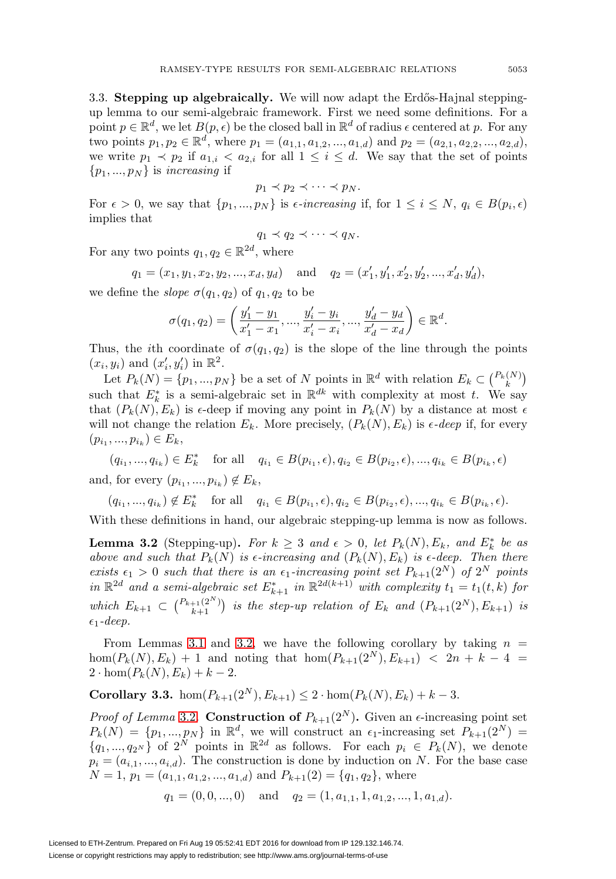3.3. **Stepping up algebraically.** We will now adapt the Erdős-Hajnal steppingup lemma to our semi-algebraic framework. First we need some definitions. For a point  $p \in \mathbb{R}^d$ , we let  $B(p, \epsilon)$  be the closed ball in  $\mathbb{R}^d$  of radius  $\epsilon$  centered at p. For any two points  $p_1, p_2 \in \mathbb{R}^d$ , where  $p_1 = (a_{1,1}, a_{1,2}, ..., a_{1,d})$  and  $p_2 = (a_{2,1}, a_{2,2}, ..., a_{2,d})$ , we write  $p_1 \prec p_2$  if  $a_{1,i} \prec a_{2,i}$  for all  $1 \leq i \leq d$ . We say that the set of points  $\{p_1, ..., p_N\}$  is *increasing* if

$$
p_1 \prec p_2 \prec \cdots \prec p_N.
$$

For  $\epsilon > 0$ , we say that  $\{p_1, ..., p_N\}$  is  $\epsilon$ -increasing if, for  $1 \leq i \leq N$ ,  $q_i \in B(p_i, \epsilon)$ implies that

$$
q_1 \prec q_2 \prec \cdots \prec q_N.
$$

For any two points  $q_1, q_2 \in \mathbb{R}^{2d}$ , where

$$
q_1 = (x_1, y_1, x_2, y_2, ..., x_d, y_d)
$$
 and  $q_2 = (x'_1, y'_1, x'_2, y'_2, ..., x'_d, y'_d)$ ,

we define the *slope*  $\sigma(q_1, q_2)$  of  $q_1, q_2$  to be

$$
\sigma(q_1, q_2) = \left(\frac{y'_1 - y_1}{x'_1 - x_1}, \dots, \frac{y'_i - y_i}{x'_i - x_i}, \dots, \frac{y'_d - y_d}{x'_d - x_d}\right) \in \mathbb{R}^d.
$$

Thus, the *i*th coordinate of  $\sigma(q_1, q_2)$  is the slope of the line through the points  $(x_i, y_i)$  and  $(x'_i, y'_i)$  in  $\mathbb{R}^2$ .

Let  $P_k(N) = \{p_1, ..., p_N\}$  be a set of N points in  $\mathbb{R}^d$  with relation  $E_k \subset {P_k(N) \choose k}$ such that  $E_k^*$  is a semi-algebraic set in  $\mathbb{R}^{dk}$  with complexity at most t. We say that  $(P_k(N), E_k)$  is  $\epsilon$ -deep if moving any point in  $P_k(N)$  by a distance at most  $\epsilon$ will not change the relation  $E_k$ . More precisely,  $(P_k(N), E_k)$  is  $\epsilon$ -deep if, for every  $(p_{i_1},..., p_{i_k}) \in E_k,$ 

 $(q_{i_1}, ..., q_{i_k}) \in E_k^*$  for all  $q_{i_1} \in B(p_{i_1}, \epsilon), q_{i_2} \in B(p_{i_2}, \epsilon), ..., q_{i_k} \in B(p_{i_k}, \epsilon)$ and, for every  $(p_{i_1}, ..., p_{i_k}) \notin E_k$ ,

$$
(q_{i_1},...,q_{i_k}) \notin E_k^*
$$
 for all  $q_{i_1} \in B(p_{i_1}, \epsilon), q_{i_2} \in B(p_{i_2}, \epsilon), ..., q_{i_k} \in B(p_{i_k}, \epsilon).$ 

With these definitions in hand, our algebraic stepping-up lemma is now as follows.

<span id="page-10-0"></span>**Lemma 3.2** (Stepping-up). For  $k \geq 3$  and  $\epsilon > 0$ , let  $P_k(N), E_k$ , and  $E_k^*$  be as above and such that  $P_k(N)$  is  $\epsilon$ -increasing and  $(P_k(N), E_k)$  is  $\epsilon$ -deep. Then there exists  $\epsilon_1 > 0$  such that there is an  $\epsilon_1$ -increasing point set  $P_{k+1}(2^N)$  of  $2^N$  points in  $\mathbb{R}^{2d}$  and a semi-algebraic set  $E_{k+1}^*$  in  $\mathbb{R}^{2d(k+1)}$  with complexity  $t_1 = t_1(t, k)$  for which  $E_{k+1} \subset {P_{k+1}(2^N) \choose k+1}$  is the step-up relation of  $E_k$  and  $(P_{k+1}(2^N), E_{k+1})$  is  $\epsilon_1$ -deep.

From Lemmas [3.1](#page-9-0) and [3.2,](#page-10-0) we have the following corollary by taking  $n =$  $hom(P_k(N), E_k) + 1$  and noting that  $hom(P_{k+1}(2^N), E_{k+1}) < 2n + k - 4 =$  $2 \cdot \hom(P_k(N), E_k) + k - 2.$ 

<span id="page-10-1"></span>**Corollary 3.3.** hom $(P_{k+1}(2^N), E_{k+1}) \leq 2 \cdot \text{hom}(P_k(N), E_k) + k - 3$ .

*Proof of Lemma* [3.2](#page-10-0). **Construction of**  $P_{k+1}(2^N)$ . Given an  $\epsilon$ -increasing point set  $P_k(N) = \{p_1, ..., p_N\}$  in  $\mathbb{R}^d$ , we will construct an  $\epsilon_1$ -increasing set  $P_{k+1}(2^N)$  ${q_1, ..., q_{2^N}}$  of  $2^N$  points in  $\mathbb{R}^{2d}$  as follows. For each  $p_i \in P_k(N)$ , we denote  $p_i = (a_{i,1},...,a_{i,d})$ . The construction is done by induction on N. For the base case  $N = 1, p_1 = (a_{1,1}, a_{1,2}, ..., a_{1,d})$  and  $P_{k+1}(2) = \{q_1, q_2\}$ , where

$$
q_1 = (0, 0, ..., 0)
$$
 and  $q_2 = (1, a_{1,1}, 1, a_{1,2}, ..., 1, a_{1,d}).$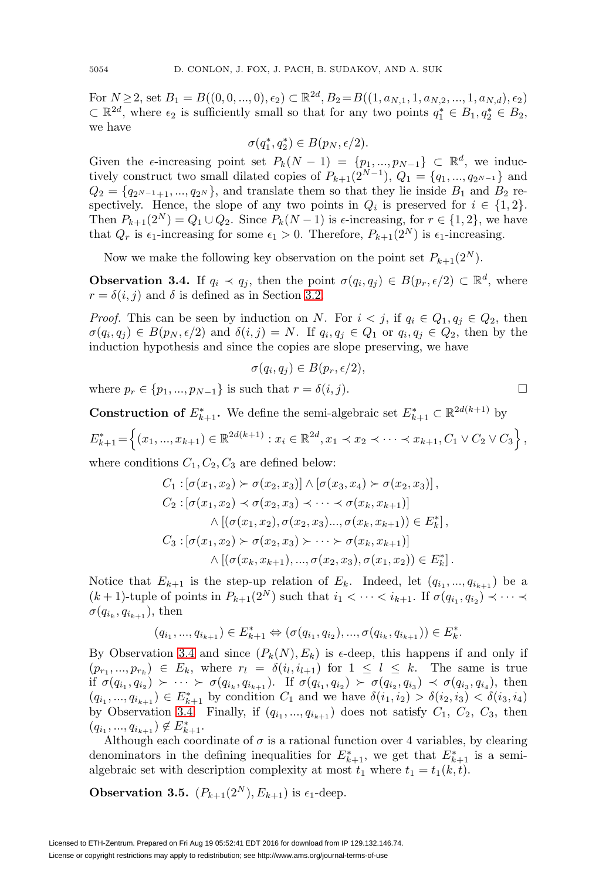For  $N \geq 2$ , set  $B_1 = B((0, 0, ..., 0), \epsilon_2) \subset \mathbb{R}^{2d}, B_2 = B((1, a_{N,1}, 1, a_{N,2}, ..., 1, a_{N,d}), \epsilon_2)$  $\subset \mathbb{R}^{2d}$ , where  $\epsilon_2$  is sufficiently small so that for any two points  $q_1^* \in B_1, q_2^* \in B_2$ , we have

$$
\sigma(q_1^*, q_2^*) \in B(p_N, \epsilon/2).
$$

Given the  $\epsilon$ -increasing point set  $P_k(N-1) = \{p_1, ..., p_{N-1}\} \subset \mathbb{R}^d$ , we inductively construct two small dilated copies of  $P_{k+1}(2^{N-1}), Q_1 = \{q_1, ..., q_{2^{N-1}}\}$  and  $Q_2 = \{q_{2^{N-1}+1}, ..., q_{2^N}\}\$ , and translate them so that they lie inside  $B_1$  and  $B_2$  respectively. Hence, the slope of any two points in  $Q_i$  is preserved for  $i \in \{1,2\}$ . Then  $P_{k+1}(2^N) = Q_1 \cup Q_2$ . Since  $P_k(N-1)$  is  $\epsilon$ -increasing, for  $r \in \{1,2\}$ , we have that  $Q_r$  is  $\epsilon_1$ -increasing for some  $\epsilon_1 > 0$ . Therefore,  $P_{k+1}(2^N)$  is  $\epsilon_1$ -increasing.

Now we make the following key observation on the point set  $P_{k+1}(2^N)$ .

<span id="page-11-0"></span>**Observation 3.4.** If  $q_i \prec q_j$ , then the point  $\sigma(q_i, q_j) \in B(p_r, \epsilon/2) \subset \mathbb{R}^d$ , where  $r = \delta(i, j)$  and  $\delta$  is defined as in Section [3.2.](#page-9-1)

*Proof.* This can be seen by induction on N. For  $i < j$ , if  $q_i \in Q_1, q_j \in Q_2$ , then  $\sigma(q_i, q_j) \in B(p_N, \epsilon/2)$  and  $\delta(i, j) = N$ . If  $q_i, q_j \in Q_1$  or  $q_i, q_j \in Q_2$ , then by the induction hypothesis and since the copies are slope preserving, we have

$$
\sigma(q_i, q_j) \in B(p_r, \epsilon/2),
$$

where  $p_r \in \{p_1, ..., p_{N-1}\}\$ is such that  $r = \delta(i, j)$ .

**Construction of**  $E_{k+1}^*$ **.** We define the semi-algebraic set  $E_{k+1}^* \subset \mathbb{R}^{2d(k+1)}$  by  $E_{k+1}^* = \left\{ (x_1, ..., x_{k+1}) \in \mathbb{R}^{2d(k+1)} : x_i \in \mathbb{R}^{2d}, x_1 \prec x_2 \prec \cdots \prec x_{k+1}, C_1 \vee C_2 \vee C_3 \right\},$ 

where conditions  $C_1, C_2, C_3$  are defined below:

$$
C_1 : [\sigma(x_1, x_2) \succ \sigma(x_2, x_3)] \wedge [\sigma(x_3, x_4) \succ \sigma(x_2, x_3)],
$$
  
\n
$$
C_2 : [\sigma(x_1, x_2) \prec \sigma(x_2, x_3) \prec \cdots \prec \sigma(x_k, x_{k+1})]
$$
  
\n
$$
\wedge [(\sigma(x_1, x_2), \sigma(x_2, x_3) \cdots, \sigma(x_k, x_{k+1})) \in E_k^*],
$$
  
\n
$$
C_3 : [\sigma(x_1, x_2) \succ \sigma(x_2, x_3) \succ \cdots \succ \sigma(x_k, x_{k+1})]
$$
  
\n
$$
\wedge [(\sigma(x_k, x_{k+1}), ..., \sigma(x_2, x_3), \sigma(x_1, x_2)) \in E_k^*].
$$

Notice that  $E_{k+1}$  is the step-up relation of  $E_k$ . Indeed, let  $(q_{i_1}, ..., q_{i_{k+1}})$  be a  $(k+1)$ -tuple of points in  $P_{k+1}(2^N)$  such that  $i_1 < \cdots < i_{k+1}$ . If  $\sigma(q_{i_1}, q_{i_2}) \prec \cdots \prec$  $\sigma(q_{i_k}, q_{i_{k+1}})$ , then

$$
(q_{i_1},...,q_{i_{k+1}}) \in E_{k+1}^* \Leftrightarrow (\sigma(q_{i_1},q_{i_2}),...,\sigma(q_{i_k},q_{i_{k+1}})) \in E_k^*.
$$

By Observation [3.4](#page-11-0) and since  $(P_k(N), E_k)$  is  $\epsilon$ -deep, this happens if and only if  $(p_{r_1},...,p_{r_k}) \in E_k$ , where  $r_l = \delta(i_l,i_{l+1})$  for  $1 \leq l \leq k$ . The same is true if  $\sigma(q_{i_1}, q_{i_2}) \succ \cdots \succ \sigma(q_{i_k}, q_{i_{k+1}})$ . If  $\sigma(q_{i_1}, q_{i_2}) \succ \sigma(q_{i_2}, q_{i_3}) \prec \sigma(q_{i_3}, q_{i_4})$ , then  $(q_{i_1}, ..., q_{i_{k+1}}) \in E_{k+1}^*$  by condition  $C_1$  and we have  $\delta(i_1, i_2) > \delta(i_2, i_3) < \delta(i_3, i_4)$ by Observation [3.4.](#page-11-0) Finally, if  $(q_{i_1}, ..., q_{i_{k+1}})$  does not satisfy  $C_1$ ,  $C_2$ ,  $C_3$ , then  $(q_{i_1}, ..., q_{i_{k+1}}) \notin E_{k+1}^*$ .

Although each coordinate of  $\sigma$  is a rational function over 4 variables, by clearing denominators in the defining inequalities for  $E_{k+1}^*$ , we get that  $E_{k+1}^*$  is a semialgebraic set with description complexity at most  $t_1$  where  $t_1 = t_1(k, t)$ .

**Observation 3.5.**  $(P_{k+1}(2^N), E_{k+1})$  is  $\epsilon_1$ -deep.

$$
\Box
$$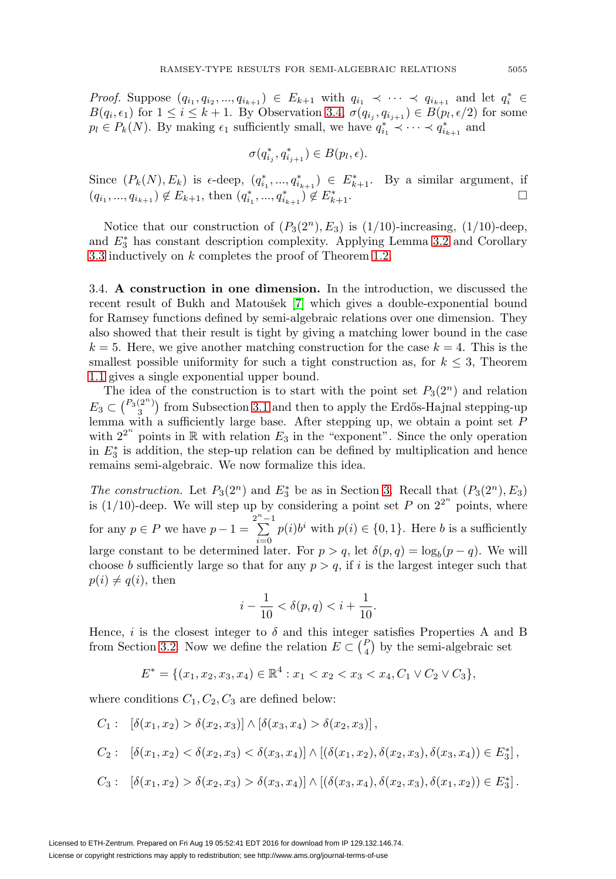*Proof.* Suppose  $(q_{i_1}, q_{i_2}, ..., q_{i_{k+1}}) \in E_{k+1}$  with  $q_{i_1} \prec \cdots \prec q_{i_{k+1}}$  and let  $q_i^* \in$  $B(q_i, \epsilon_1)$  for  $1 \leq i \leq k+1$ . By Observation [3.4,](#page-11-0)  $\sigma(q_{i_j}, q_{i_{j+1}}) \in B(p_l, \epsilon/2)$  for some  $p_l \in P_k(N)$ . By making  $\epsilon_1$  sufficiently small, we have  $q_{i_1}^* \prec \cdots \prec q_{i_{k+1}}^*$  and

$$
\sigma(q_{i_j}^*, q_{i_{j+1}}^*) \in B(p_l, \epsilon).
$$

Since  $(P_k(N), E_k)$  is  $\epsilon$ -deep,  $(q_{i_1}^*, ..., q_{i_{k+1}}^*) \in E_{k+1}^*$ . By a similar argument, if  $(q_{i_1},...,q_{i_{k+1}}) \notin E_{k+1}$ , then  $(q_{i_1}^*,...,q_{i_{k+1}}^*) \notin E_k^*$  $k+1$ .  $\Box$ 

Notice that our construction of  $(P_3(2^n), E_3)$  is  $(1/10)$ -increasing,  $(1/10)$ -deep, and  $E_3^*$  has constant description complexity. Applying Lemma [3.2](#page-10-0) and Corollary [3.3](#page-10-1) inductively on k completes the proof of Theorem [1.2.](#page-3-0)

<span id="page-12-0"></span>3.4. **A construction in one dimension.** In the introduction, we discussed the recent result of Bukh and Matoušek [\[7\]](#page-21-16) which gives a double-exponential bound for Ramsey functions defined by semi-algebraic relations over one dimension. They also showed that their result is tight by giving a matching lower bound in the case  $k = 5$ . Here, we give another matching construction for the case  $k = 4$ . This is the smallest possible uniformity for such a tight construction as, for  $k \leq 3$ , Theorem [1.1](#page-2-0) gives a single exponential upper bound.

The idea of the construction is to start with the point set  $P_3(2^n)$  and relation  $E_3 \subset \binom{P_3(2^n)}{3}$  from Subsection [3.1](#page-8-1) and then to apply the Erdős-Hajnal stepping-up lemma with a sufficiently large base. After stepping up, we obtain a point set  $P$ with  $2^{2^n}$  points in R with relation  $E_3$  in the "exponent". Since the only operation in  $E_3^*$  is addition, the step-up relation can be defined by multiplication and hence remains semi-algebraic. We now formalize this idea.

The construction. Let  $P_3(2^n)$  and  $E_3^*$  be as in Section [3.](#page-8-0) Recall that  $(P_3(2^n), E_3)$ is (1/10)-deep. We will step up by considering a point set P on  $2^{2^n}$  points, where for any  $p \in P$  we have  $p - 1 =$  $2^n$  $\sum_{n=1}^{n}$  $\sum_{i=0} p(i)b^i$  with  $p(i) \in \{0, 1\}$ . Here *b* is a sufficiently large constant to be determined later. For  $p > q$ , let  $\delta(p, q) = \log_b(p - q)$ . We will choose b sufficiently large so that for any  $p > q$ , if i is the largest integer such that  $p(i) \neq q(i)$ , then

$$
i - \frac{1}{10} < \delta(p, q) < i + \frac{1}{10}.
$$

Hence, i is the closest integer to  $\delta$  and this integer satisfies Properties A and B from Section [3.2.](#page-9-1) Now we define the relation  $E \subset {P \choose 4}$  by the semi-algebraic set

$$
E^* = \{ (x_1, x_2, x_3, x_4) \in \mathbb{R}^4 : x_1 < x_2 < x_3 < x_4, C_1 \vee C_2 \vee C_3 \},
$$

where conditions  $C_1, C_2, C_3$  are defined below:

$$
C_1: [\delta(x_1, x_2) > \delta(x_2, x_3)] \wedge [\delta(x_3, x_4) > \delta(x_2, x_3)],
$$
  
\n
$$
C_2: [\delta(x_1, x_2) < \delta(x_2, x_3) < \delta(x_3, x_4)] \wedge [(\delta(x_1, x_2), \delta(x_2, x_3), \delta(x_3, x_4)) \in E_3^*],
$$
  
\n
$$
C_3: [\delta(x_1, x_2) > \delta(x_2, x_3) > \delta(x_3, x_4)] \wedge [(\delta(x_3, x_4), \delta(x_2, x_3), \delta(x_1, x_2)) \in E_3^*].
$$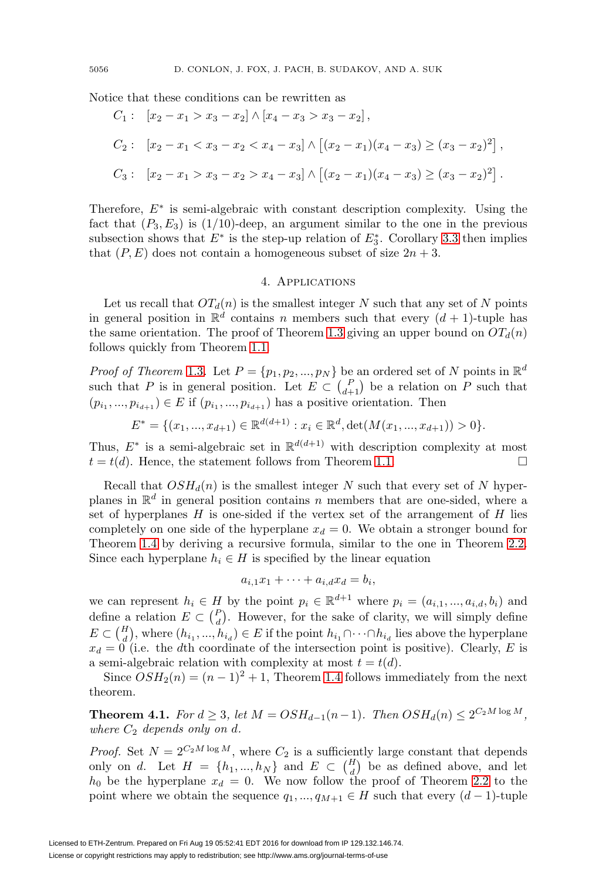Notice that these conditions can be rewritten as

$$
C_1: [x_2 - x_1 > x_3 - x_2] \wedge [x_4 - x_3 > x_3 - x_2],
$$
  
\n
$$
C_2: [x_2 - x_1 < x_3 - x_2 < x_4 - x_3] \wedge [(x_2 - x_1)(x_4 - x_3) \ge (x_3 - x_2)^2],
$$
  
\n
$$
C_3: [x_2 - x_1 > x_3 - x_2 > x_4 - x_3] \wedge [(x_2 - x_1)(x_4 - x_3) \ge (x_3 - x_2)^2].
$$

Therefore,  $E^*$  is semi-algebraic with constant description complexity. Using the fact that  $(P_3, E_3)$  is  $(1/10)$ -deep, an argument similar to the one in the previous subsection shows that  $E^*$  is the step-up relation of  $E_3^*$ . Corollary [3.3](#page-10-1) then implies that  $(P, E)$  does not contain a homogeneous subset of size  $2n + 3$ .

### 4. Applications

<span id="page-13-0"></span>Let us recall that  $OT<sub>d</sub>(n)$  is the smallest integer N such that any set of N points in general position in  $\mathbb{R}^d$  contains n members such that every  $(d+1)$ -tuple has the same orientation. The proof of Theorem [1.3](#page-3-1) giving an upper bound on  $OT<sub>d</sub>(n)$ follows quickly from Theorem [1.1.](#page-2-0)

*Proof of Theorem* [1.3](#page-3-1). Let  $P = \{p_1, p_2, ..., p_N\}$  be an ordered set of N points in  $\mathbb{R}^d$ such that P is in general position. Let  $E \subset {P \choose d+1}$  be a relation on P such that  $(p_{i_1}, ..., p_{i_{d+1}}) \in E$  if  $(p_{i_1}, ..., p_{i_{d+1}})$  has a positive orientation. Then

$$
E^* = \{ (x_1, ..., x_{d+1}) \in \mathbb{R}^{d(d+1)} : x_i \in \mathbb{R}^d, \det(M(x_1, ..., x_{d+1})) > 0 \}.
$$

Thus,  $E^*$  is a semi-algebraic set in  $\mathbb{R}^{d(d+1)}$  with description complexity at most  $t = t(d)$ . Hence, the statement follows from Theorem [1.1.](#page-2-0)

Recall that  $OSH_d(n)$  is the smallest integer N such that every set of N hyperplanes in  $\mathbb{R}^d$  in general position contains n members that are one-sided, where a set of hyperplanes  $H$  is one-sided if the vertex set of the arrangement of  $H$  lies completely on one side of the hyperplane  $x_d = 0$ . We obtain a stronger bound for Theorem [1.4](#page-3-2) by deriving a recursive formula, similar to the one in Theorem [2.2.](#page-6-0) Since each hyperplane  $h_i \in H$  is specified by the linear equation

$$
a_{i,1}x_1 + \cdots + a_{i,d}x_d = b_i,
$$

we can represent  $h_i \in H$  by the point  $p_i \in \mathbb{R}^{d+1}$  where  $p_i = (a_{i,1},...,a_{i,d},b_i)$  and define a relation  $E \subset {P \choose d}$ . However, for the sake of clarity, we will simply define  $E \subset \binom{H}{d}$ , where  $(h_{i_1},...,h_{i_d}) \in E$  if the point  $h_{i_1} \cap \cdots \cap h_{i_d}$  lies above the hyperplane  $x_d = 0$  (i.e. the dth coordinate of the intersection point is positive). Clearly, E is a semi-algebraic relation with complexity at most  $t = t(d)$ .

Since  $OSH_2(n)=(n-1)^2+1$ , Theorem [1.4](#page-3-2) follows immediately from the next theorem.

**Theorem 4.1.** For  $d \ge 3$ , let  $M = OSH_{d-1}(n-1)$ . Then  $OSH_d(n) ≤ 2^{C_2M \log M}$ . where  $C_2$  depends only on d.

*Proof.* Set  $N = 2^{C_2 M \log M}$ , where  $C_2$  is a sufficiently large constant that depends only on d. Let  $H = \{h_1, ..., h_N\}$  and  $E \subset {H \choose d}$  be as defined above, and let  $h_0$  be the hyperplane  $x_d = 0$ . We now follow the proof of Theorem [2.2](#page-6-0) to the point where we obtain the sequence  $q_1, ..., q_{M+1} \in H$  such that every  $(d-1)$ -tuple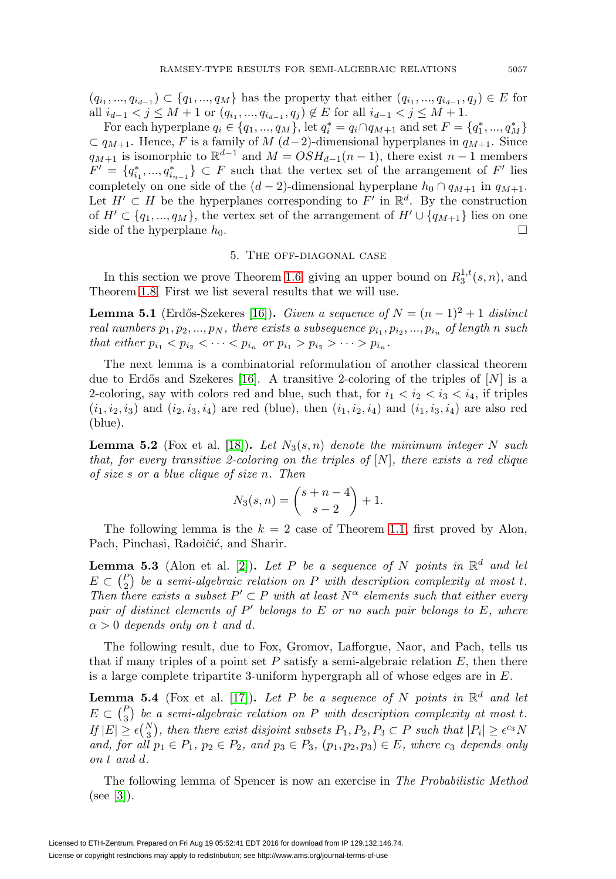$(q_{i_1}, ..., q_{i_{d-1}}) \subset \{q_1, ..., q_M\}$  has the property that either  $(q_{i_1}, ..., q_{i_{d-1}}, q_i) \in E$  for all  $i_{d-1} < j \leq M+1$  or  $(q_{i_1}, ..., q_{i_{d-1}}, q_j) \notin E$  for all  $i_{d-1} < j \leq M+1$ .

For each hyperplane  $q_i \in \{q_1, ..., q_M\}$ , let  $q_i^* = q_i \cap q_{M+1}$  and set  $F = \{q_1^*, ..., q_M^*\}$  $\subset q_{M+1}$ . Hence, F is a family of M  $(d-2)$ -dimensional hyperplanes in  $q_{M+1}$ . Since  $q_{M+1}$  is isomorphic to  $\mathbb{R}^{d-1}$  and  $M = OSH_{d-1}(n-1)$ , there exist  $n-1$  members  $F' = \{q_{i_1}^*, ..., q_{i_{n-1}}^*\} \subset F$  such that the vertex set of the arrangement of  $F'$  lies completely on one side of the  $(d-2)$ -dimensional hyperplane  $h_0 \cap q_{M+1}$  in  $q_{M+1}$ . Let  $H' \subset H$  be the hyperplanes corresponding to F' in  $\mathbb{R}^d$ . By the construction of  $H' \subset \{q_1, ..., q_M\}$ , the vertex set of the arrangement of  $H' \cup \{q_{M+1}\}$  lies on one side of the hyperplane  $h_0$ .  $\Box$ 

## 5. The off-diagonal case

<span id="page-14-0"></span>In this section we prove Theorem [1.6,](#page-4-3) giving an upper bound on  $R_3^{1,t}(s,n)$ , and Theorem [1.8.](#page-5-0) First we list several results that we will use.

<span id="page-14-1"></span>**Lemma 5.1** (Erdős-Szekeres [\[16\]](#page-21-2)). Given a sequence of  $N = (n-1)^2 + 1$  distinct real numbers  $p_1, p_2, ..., p_N$ , there exists a subsequence  $p_{i_1}, p_{i_2}, ..., p_{i_n}$  of length n such that either  $p_{i_1} < p_{i_2} < \cdots < p_{i_n}$  or  $p_{i_1} > p_{i_2} > \cdots > p_{i_n}$ .

The next lemma is a combinatorial reformulation of another classical theorem due to Erdős and Szekeres [\[16\]](#page-21-2). A transitive 2-coloring of the triples of  $[N]$  is a 2-coloring, say with colors red and blue, such that, for  $i_1 < i_2 < i_3 < i_4$ , if triples  $(i_1, i_2, i_3)$  and  $(i_2, i_3, i_4)$  are red (blue), then  $(i_1, i_2, i_4)$  and  $(i_1, i_3, i_4)$  are also red (blue).

<span id="page-14-2"></span>**Lemma 5.2** (Fox et al. [\[18\]](#page-21-19)). Let  $N_3(s,n)$  denote the minimum integer N such that, for every transitive 2-coloring on the triples of  $[N]$ , there exists a red clique of size s or a blue clique of size n. Then

$$
N_3(s,n) = \binom{s+n-4}{s-2} + 1.
$$

The following lemma is the  $k = 2$  case of Theorem [1.1,](#page-2-0) first proved by Alon, Pach, Pinchasi, Radoičić, and Sharir.

<span id="page-14-3"></span>**Lemma 5.3** (Alon et al. [\[2\]](#page-20-0)). Let P be a sequence of N points in  $\mathbb{R}^d$  and let  $E \subset {P \choose 2}$  be a semi-algebraic relation on P with description complexity at most t. Then there exists a subset  $P' \subset P$  with at least  $N^{\alpha}$  elements such that either every pair of distinct elements of  $P'$  belongs to E or no such pair belongs to E, where  $\alpha > 0$  depends only on t and d.

The following result, due to Fox, Gromov, Lafforgue, Naor, and Pach, tells us that if many triples of a point set  $P$  satisfy a semi-algebraic relation  $E$ , then there is a large complete tripartite 3-uniform hypergraph all of whose edges are in E.

<span id="page-14-4"></span>**Lemma 5.4** (Fox et al. [\[17\]](#page-21-20)). Let P be a sequence of N points in  $\mathbb{R}^d$  and let  $E \subset {P \choose 3}$  be a semi-algebraic relation on P with description complexity at most t. If  $|E|\geq \epsilon\binom{N}{3}$ , then there exist disjoint subsets  $P_1, P_2, P_3\subset P$  such that  $|P_i|\geq \epsilon^{c_3}N$ and, for all  $p_1 \in P_1$ ,  $p_2 \in P_2$ , and  $p_3 \in P_3$ ,  $(p_1, p_2, p_3) \in E$ , where  $c_3$  depends only on t and d.

The following lemma of Spencer is now an exercise in The Probabilistic Method (see [\[3\]](#page-21-21)).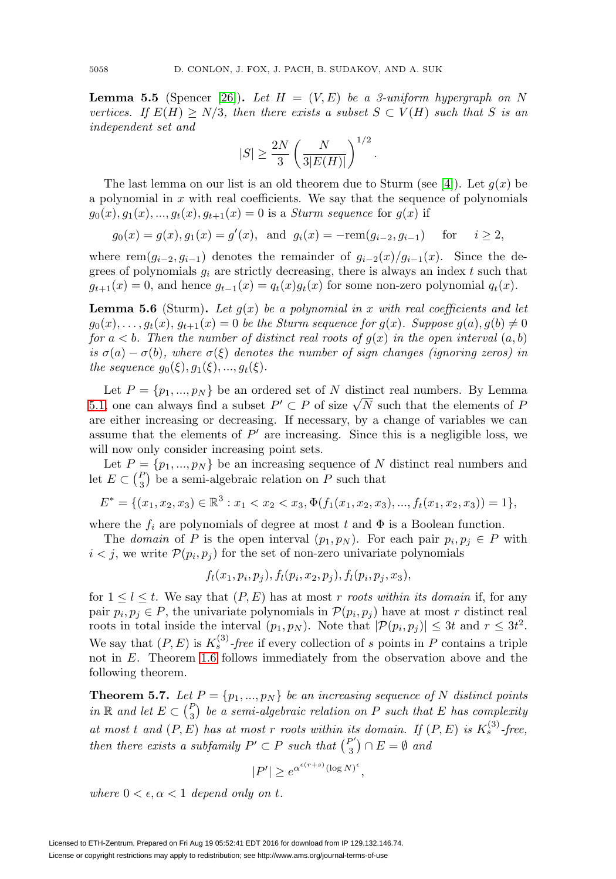<span id="page-15-0"></span>**Lemma 5.5** (Spencer [\[26\]](#page-21-22)). Let  $H = (V, E)$  be a 3-uniform hypergraph on N vertices. If  $E(H) > N/3$ , then there exists a subset  $S \subset V(H)$  such that S is an independent set and

$$
|S| \ge \frac{2N}{3} \left( \frac{N}{3|E(H)|} \right)^{1/2}.
$$

The last lemma on our list is an old theorem due to Sturm (see [\[4\]](#page-21-9)). Let  $g(x)$  be a polynomial in  $x$  with real coefficients. We say that the sequence of polynomials  $g_0(x), g_1(x), ..., g_t(x), g_{t+1}(x) = 0$  is a *Sturm sequence* for  $g(x)$  if

 $g_0(x) = g(x), g_1(x) = g'(x)$ , and  $g_i(x) = -\text{rem}(g_{i-2}, g_{i-1})$  for  $i \ge 2$ ,

where rem $(g_{i-2}, g_{i-1})$  denotes the remainder of  $g_{i-2}(x)/g_{i-1}(x)$ . Since the degrees of polynomials  $g_i$  are strictly decreasing, there is always an index t such that  $g_{t+1}(x) = 0$ , and hence  $g_{t-1}(x) = q_t(x)g_t(x)$  for some non-zero polynomial  $q_t(x)$ .

<span id="page-15-1"></span>**Lemma 5.6** (Sturm). Let  $g(x)$  be a polynomial in x with real coefficients and let  $g_0(x),...,g_t(x), g_{t+1}(x)=0$  be the Sturm sequence for  $g(x)$ . Suppose  $g(a), g(b) \neq 0$ for  $a < b$ . Then the number of distinct real roots of  $g(x)$  in the open interval  $(a, b)$ is  $\sigma(a) - \sigma(b)$ , where  $\sigma(\xi)$  denotes the number of sign changes (ignoring zeros) in the sequence  $g_0(\xi), g_1(\xi), ..., g_t(\xi)$ .

Let  $P = \{p_1, ..., p_N\}$  be an ordered set of N distinct real numbers. By Lemma Let  $F = \{p_1, ..., p_N\}$  be an ordered set of N distinct fear numbers. By Lemma<br>[5.1,](#page-14-1) one can always find a subset  $P' \subset P$  of size  $\sqrt{N}$  such that the elements of P are either increasing or decreasing. If necessary, by a change of variables we can assume that the elements of  $P'$  are increasing. Since this is a negligible loss, we will now only consider increasing point sets.

Let  $P = \{p_1, ..., p_N\}$  be an increasing sequence of N distinct real numbers and let  $E \subset {P \choose 3}$  be a semi-algebraic relation on P such that

$$
E^* = \{ (x_1, x_2, x_3) \in \mathbb{R}^3 : x_1 < x_2 < x_3, \Phi(f_1(x_1, x_2, x_3), \dots, f_t(x_1, x_2, x_3)) = 1 \},
$$

where the  $f_i$  are polynomials of degree at most t and  $\Phi$  is a Boolean function.

The domain of P is the open interval  $(p_1, p_N)$ . For each pair  $p_i, p_j \in P$  with  $i < j$ , we write  $\mathcal{P}(p_i, p_j)$  for the set of non-zero univariate polynomials

$$
f_l(x_1, p_i, p_j), f_l(p_i, x_2, p_j), f_l(p_i, p_j, x_3),
$$

for  $1 \leq l \leq t$ . We say that  $(P, E)$  has at most r roots within its domain if, for any pair  $p_i, p_j \in P$ , the univariate polynomials in  $\mathcal{P}(p_i, p_j)$  have at most r distinct real roots in total inside the interval  $(p_1, p_N)$ . Note that  $|\mathcal{P}(p_i, p_j)| \leq 3t$  and  $r \leq 3t^2$ . We say that  $(P, E)$  is  $K_s^{(3)}$ -free if every collection of s points in P contains a triple not in E. Theorem [1.6](#page-4-3) follows immediately from the observation above and the following theorem.

**Theorem 5.7.** Let  $P = \{p_1, ..., p_N\}$  be an increasing sequence of N distinct points in  $\mathbb R$  and let  $E \subset {P \choose 3}$  be a semi-algebraic relation on P such that E has complexity at most t and  $(P, E)$  has at most r roots within its domain. If  $(P, E)$  is  $K_s^{(3)}$ -free, then there exists a subfamily  $P' \subset P$  such that  $\binom{P'}{3} \cap E = \emptyset$  and

$$
|P'| \ge e^{\alpha^{\epsilon(r+s)}(\log N)^{\epsilon}},
$$

where  $0 < \epsilon, \alpha < 1$  depend only on t.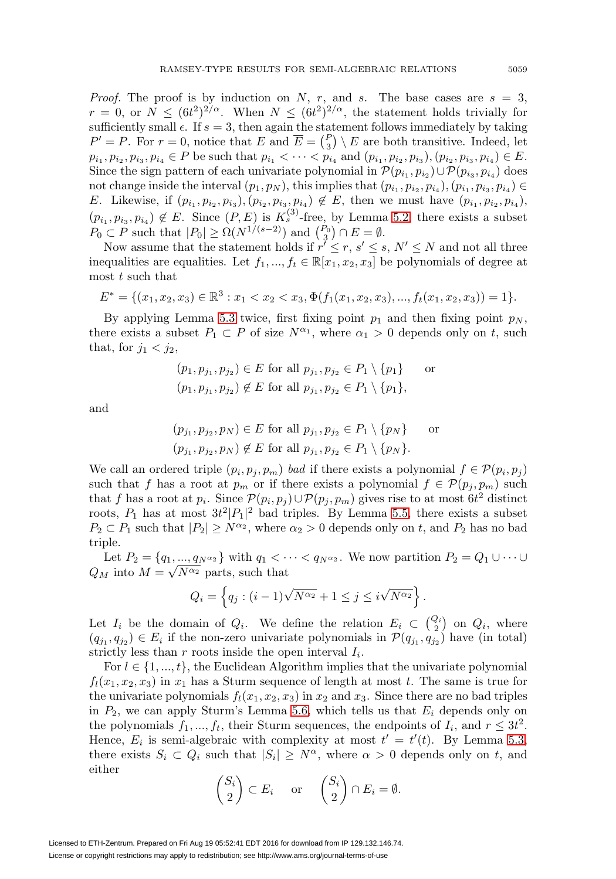*Proof.* The proof is by induction on N, r, and s. The base cases are  $s = 3$ ,  $r = 0$ , or  $N \leq (6t^2)^{2/\alpha}$ . When  $N \leq (6t^2)^{2/\alpha}$ , the statement holds trivially for sufficiently small  $\epsilon$ . If  $s = 3$ , then again the statement follows immediately by taking  $P' = P$ . For  $r = 0$ , notice that E and  $\overline{E} = {P \choose 3} \setminus E$  are both transitive. Indeed, let  $p_{i_1}, p_{i_2}, p_{i_3}, p_{i_4} \in P$  be such that  $p_{i_1} < \cdots < p_{i_4}$  and  $(p_{i_1}, p_{i_2}, p_{i_3}), (p_{i_2}, p_{i_3}, p_{i_4}) \in E$ . Since the sign pattern of each univariate polynomial in  $\mathcal{P}(p_{i_1}, p_{i_2})\cup \mathcal{P}(p_{i_3}, p_{i_4})$  does not change inside the interval  $(p_1, p_N)$ , this implies that  $(p_{i_1}, p_{i_2}, p_{i_4}), (p_{i_1}, p_{i_3}, p_{i_4}) \in$ E. Likewise, if  $(p_{i_1}, p_{i_2}, p_{i_3}), (p_{i_2}, p_{i_3}, p_{i_4}) \notin E$ , then we must have  $(p_{i_1}, p_{i_2}, p_{i_4}),$  $(p_{i_1}, p_{i_3}, p_{i_4}) \notin E$ . Since  $(P, E)$  is  $K_s^{(3)}$ -free, by Lemma [5.2,](#page-14-2) there exists a subset  $P_0 \subset P$  such that  $|P_0| \ge \Omega(N^{1/(s-2)})$  and  $\binom{P_0}{3} \cap E = \emptyset$ .

Now assume that the statement holds if  $r' \leq r, s' \leq s, N' \leq N$  and not all three inequalities are equalities. Let  $f_1, ..., f_t \in \mathbb{R}[x_1, x_2, x_3]$  be polynomials of degree at most  $t$  such that

$$
E^* = \{ (x_1, x_2, x_3) \in \mathbb{R}^3 : x_1 < x_2 < x_3, \Phi(f_1(x_1, x_2, x_3), \dots, f_t(x_1, x_2, x_3)) = 1 \}.
$$

By applying Lemma [5.3](#page-14-3) twice, first fixing point  $p_1$  and then fixing point  $p_N$ , there exists a subset  $P_1 \subset P$  of size  $N^{\alpha_1}$ , where  $\alpha_1 > 0$  depends only on t, such that, for  $j_1 < j_2$ ,

$$
(p_1, p_{j_1}, p_{j_2}) \in E
$$
 for all  $p_{j_1}, p_{j_2} \in P_1 \setminus \{p_1\}$  or  
\n $(p_1, p_{j_1}, p_{j_2}) \notin E$  for all  $p_{j_1}, p_{j_2} \in P_1 \setminus \{p_1\}$ ,

and

$$
(p_{j_1}, p_{j_2}, p_N) \in E \text{ for all } p_{j_1}, p_{j_2} \in P_1 \setminus \{p_N\} \text{ or}
$$

$$
(p_{j_1}, p_{j_2}, p_N) \notin E \text{ for all } p_{j_1}, p_{j_2} \in P_1 \setminus \{p_N\}.
$$

We call an ordered triple  $(p_i, p_j, p_m)$  bad if there exists a polynomial  $f \in \mathcal{P}(p_i, p_j)$ such that f has a root at  $p_m$  or if there exists a polynomial  $f \in \mathcal{P}(p_j, p_m)$  such that f has a root at  $p_i$ . Since  $\mathcal{P}(p_i, p_j) \cup \mathcal{P}(p_j, p_m)$  gives rise to at most  $6t^2$  distinct roots,  $P_1$  has at most  $3t^2|P_1|^2$  bad triples. By Lemma [5.5,](#page-15-0) there exists a subset  $P_2 \subset P_1$  such that  $|P_2| \ge N^{\alpha_2}$ , where  $\alpha_2 > 0$  depends only on t, and  $P_2$  has no bad triple.

Let  $P_2 = \{q_1, ..., q_{N^{\alpha_2}}\}$  with  $q_1 < \cdots < q_{N^{\alpha_2}}$ . We now partition  $P_2 = Q_1 \cup \cdots \cup$ Let  $F_2 = \{q_1, ..., q_{N^{\alpha_2}}\}$  with  $q_1 < \cdots$ <br> $Q_M$  into  $M = \sqrt{N^{\alpha_2}}$  parts, such that

$$
Q_i = \left\{ q_j : (i-1)\sqrt{N^{\alpha_2}} + 1 \le j \le i\sqrt{N^{\alpha_2}} \right\}
$$

.

Let  $I_i$  be the domain of  $Q_i$ . We define the relation  $E_i \subset \binom{Q_i}{2}$  on  $Q_i$ , where  $(q_{j_1}, q_{j_2}) \in E_i$  if the non-zero univariate polynomials in  $\mathcal{P}(q_{j_1}, q_{j_2})$  have (in total) strictly less than r roots inside the open interval  $I_i$ .

For  $l \in \{1, ..., t\}$ , the Euclidean Algorithm implies that the univariate polynomial  $f_l(x_1, x_2, x_3)$  in  $x_1$  has a Sturm sequence of length at most t. The same is true for the univariate polynomials  $f_l(x_1, x_2, x_3)$  in  $x_2$  and  $x_3$ . Since there are no bad triples in  $P_2$ , we can apply Sturm's Lemma [5.6,](#page-15-1) which tells us that  $E_i$  depends only on the polynomials  $f_1, ..., f_t$ , their Sturm sequences, the endpoints of  $I_i$ , and  $r \leq 3t^2$ . Hence,  $E_i$  is semi-algebraic with complexity at most  $t' = t'(t)$ . By Lemma [5.3,](#page-14-3) there exists  $S_i \subset Q_i$  such that  $|S_i| \geq N^{\alpha}$ , where  $\alpha > 0$  depends only on t, and either

$$
\binom{S_i}{2} \subset E_i \quad \text{or} \quad \binom{S_i}{2} \cap E_i = \emptyset.
$$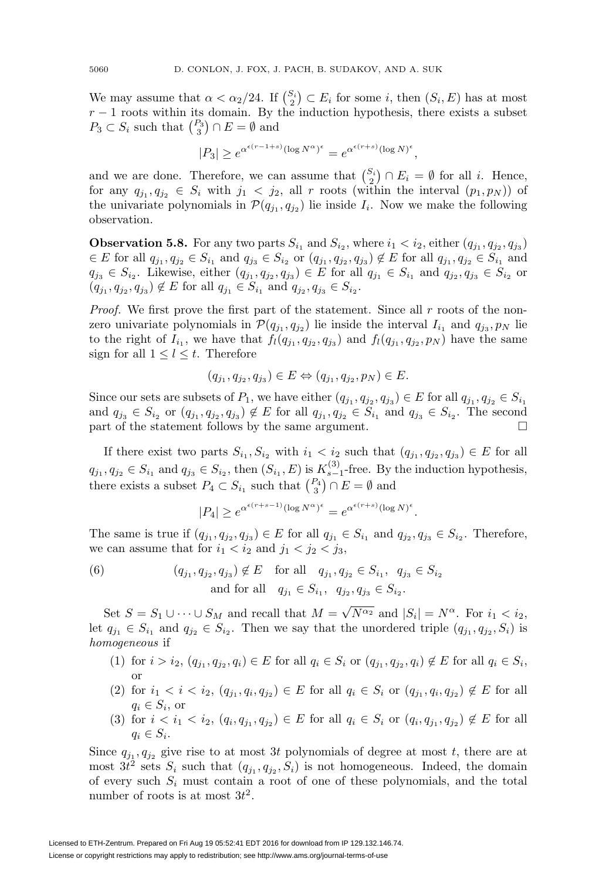We may assume that  $\alpha < \alpha_2/24$ . If  $\binom{S_i}{2} \subset E_i$  for some *i*, then  $(S_i, E)$  has at most  $r - 1$  roots within its domain. By the induction hypothesis, there exists a subset  $P_3 \subset S_i$  such that  $\binom{P_3}{3} \cap E = \emptyset$  and

$$
|P_3| \ge e^{\alpha^{\epsilon(r-1+s)}(\log N^{\alpha})^{\epsilon}} = e^{\alpha^{\epsilon(r+s)}(\log N)^{\epsilon}},
$$

and we are done. Therefore, we can assume that  $\binom{S_i}{2} \cap E_i = \emptyset$  for all *i*. Hence, for any  $q_{j_1}, q_{j_2} \in S_i$  with  $j_1 < j_2$ , all r roots (within the interval  $(p_1, p_N)$ ) of the univariate polynomials in  $\mathcal{P}(q_{j_1}, q_{j_2})$  lie inside  $I_i$ . Now we make the following observation.

**Observation 5.8.** For any two parts  $S_{i_1}$  and  $S_{i_2}$ , where  $i_1 < i_2$ , either  $(q_{j_1}, q_{j_2}, q_{j_3})$  $\in E$  for all  $q_{j_1}, q_{j_2} \in S_{i_1}$  and  $q_{j_3} \in S_{i_2}$  or  $(q_{j_1}, q_{j_2}, q_{j_3}) \notin E$  for all  $q_{j_1}, q_{j_2} \in S_{i_1}$  and  $q_{j_3} \in S_{i_2}$ . Likewise, either  $(q_{j_1}, q_{j_2}, q_{j_3}) \in E$  for all  $q_{j_1} \in S_{i_1}$  and  $q_{j_2}, q_{j_3} \in S_{i_2}$  or  $(q_{j_1}, q_{j_2}, q_{j_3}) \notin E$  for all  $q_{j_1} \in S_{i_1}$  and  $q_{j_2}, q_{j_3} \in S_{i_2}$ .

*Proof.* We first prove the first part of the statement. Since all r roots of the nonzero univariate polynomials in  $\mathcal{P}(q_{j_1}, q_{j_2})$  lie inside the interval  $I_{i_1}$  and  $q_{j_3}, p_N$  lie to the right of  $I_{i_1}$ , we have that  $f_l(q_{j_1}, q_{j_2}, q_{j_3})$  and  $f_l(q_{j_1}, q_{j_2}, p_N)$  have the same sign for all  $1 \leq l \leq t$ . Therefore

$$
(q_{j_1}, q_{j_2}, q_{j_3}) \in E \Leftrightarrow (q_{j_1}, q_{j_2}, p_N) \in E.
$$

Since our sets are subsets of  $P_1$ , we have either  $(q_{j_1}, q_{j_2}, q_{j_3}) \in E$  for all  $q_{j_1}, q_{j_2} \in S_{i_1}$ and  $q_{j_3} \in S_{i_2}$  or  $(q_{j_1}, q_{j_2}, q_{j_3}) \notin E$  for all  $q_{j_1}, q_{j_2} \in S_{i_1}$  and  $q_{j_3} \in S_{i_2}$ . The second part of the statement follows by the same argument.  $\Box$ 

If there exist two parts  $S_{i_1}, S_{i_2}$  with  $i_1 < i_2$  such that  $(q_{j_1}, q_{j_2}, q_{j_3}) \in E$  for all  $q_{j_1}, q_{j_2} \in S_{i_1}$  and  $q_{j_3} \in S_{i_2}$ , then  $(S_{i_1}, E)$  is  $K_{s-1}^{(3)}$ -free. By the induction hypothesis, there exists a subset  $P_4 \subset S_{i_1}$  such that  $\binom{P_4}{3} \cap E = \emptyset$  and

$$
|P_4| \ge e^{\alpha^{\epsilon(r+s-1)}(\log N^{\alpha})^{\epsilon}} = e^{\alpha^{\epsilon(r+s)}(\log N)^{\epsilon}}.
$$

The same is true if  $(q_{j_1}, q_{j_2}, q_{j_3}) \in E$  for all  $q_{j_1} \in S_{i_1}$  and  $q_{j_2}, q_{j_3} \in S_{i_2}$ . Therefore, we can assume that for  $i_1 < i_2$  and  $j_1 < j_2 < j_3$ ,

<span id="page-17-0"></span>(6) 
$$
(q_{j_1}, q_{j_2}, q_{j_3}) \notin E \text{ for all } q_{j_1}, q_{j_2} \in S_{i_1}, q_{j_3} \in S_{i_2}
$$
  
and for all  $q_{j_1} \in S_{i_1}, q_{j_2}, q_{j_3} \in S_{i_2}$ .

Set  $S = S_1 \cup \cdots \cup S_M$  and recall that  $M = \sqrt{N^{\alpha_2}}$  and  $|S_i| = N^{\alpha}$ . For  $i_1 < i_2$ , let  $q_{j_1} \in S_{i_1}$  and  $q_{j_2} \in S_{i_2}$ . Then we say that the unordered triple  $(q_{j_1}, q_{j_2}, S_i)$  is homogeneous if

- (1) for  $i>i_2, (q_{j_1}, q_{j_2}, q_i) \in E$  for all  $q_i \in S_i$  or  $(q_{j_1}, q_{j_2}, q_i) \notin E$  for all  $q_i \in S_i$ , or
- (2) for  $i_1 < i < i_2, (q_{j_1}, q_i, q_{j_2}) \in E$  for all  $q_i \in S_i$  or  $(q_{j_1}, q_i, q_{j_2}) \notin E$  for all  $q_i \in S_i$ , or
- (3) for  $i < i_1 < i_2, (q_i, q_{i_1}, q_{i_2}) \in E$  for all  $q_i \in S_i$  or  $(q_i, q_{i_1}, q_{i_2}) \notin E$  for all  $q_i \in S_i$ .

Since  $q_{j_1}, q_{j_2}$  give rise to at most 3t polynomials of degree at most t, there are at most  $3t^2$  sets  $S_i$  such that  $(q_{j_1}, q_{j_2}, S_i)$  is not homogeneous. Indeed, the domain of every such  $S_i$  must contain a root of one of these polynomials, and the total number of roots is at most  $3t^2$ .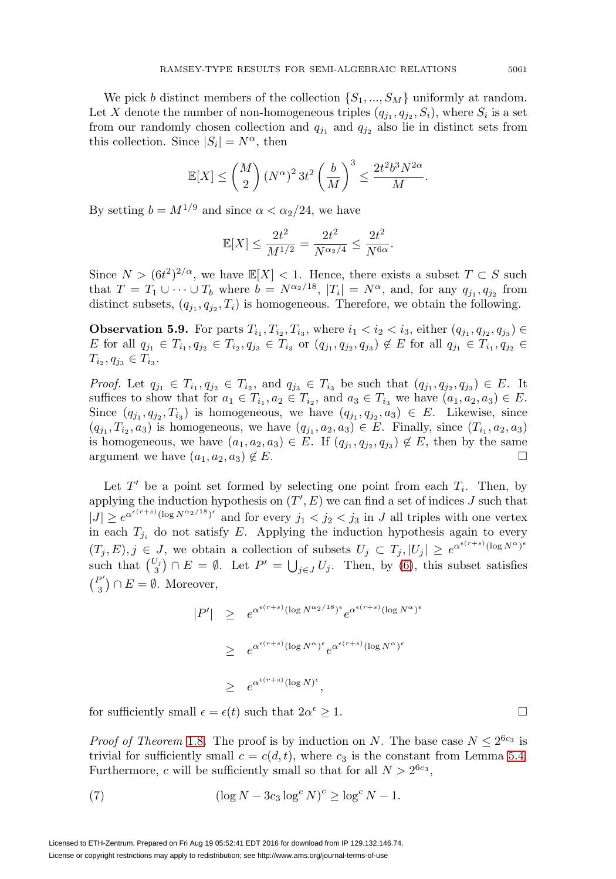We pick b distinct members of the collection  $\{S_1, ..., S_M\}$  uniformly at random. Let X denote the number of non-homogeneous triples  $(q_{j_1}, q_{j_2}, S_i)$ , where  $S_i$  is a set from our randomly chosen collection and  $q_{j_1}$  and  $q_{j_2}$  also lie in distinct sets from this collection. Since  $|S_i| = N^{\alpha}$ , then

$$
\mathbb{E}[X] \le \binom{M}{2} \left(N^{\alpha}\right)^2 3t^2 \left(\frac{b}{M}\right)^3 \le \frac{2t^2 b^3 N^{2\alpha}}{M}.
$$

By setting  $b = M^{1/9}$  and since  $\alpha < \alpha_2/24$ , we have

$$
\mathbb{E}[X] \le \frac{2t^2}{M^{1/2}} = \frac{2t^2}{N^{\alpha_2/4}} \le \frac{2t^2}{N^{6\alpha}}.
$$

Since  $N > (6t^2)^{2/\alpha}$ , we have  $\mathbb{E}[X] < 1$ . Hence, there exists a subset  $T \subset S$  such that  $T = T_1 \cup \cdots \cup T_b$  where  $b = N^{\alpha_2/18}$ ,  $|T_i| = N^{\alpha}$ , and, for any  $q_{j_1}, q_{j_2}$  from distinct subsets,  $(q_{j_1}, q_{j_2}, T_i)$  is homogeneous. Therefore, we obtain the following.

**Observation 5.9.** For parts  $T_{i_1}, T_{i_2}, T_{i_3}$ , where  $i_1 < i_2 < i_3$ , either  $(q_{j_1}, q_{j_2}, q_{j_3}) \in$ E for all  $q_{j_1} \in T_{i_1}, q_{j_2} \in T_{i_2}, q_{j_3} \in T_{i_3}$  or  $(q_{j_1}, q_{j_2}, q_{j_3}) \notin E$  for all  $q_{j_1} \in T_{i_1}, q_{j_2} \in$  $T_{i_2}, q_{j_3} \in T_{i_3}.$ 

*Proof.* Let  $q_{j_1} \in T_{i_1}, q_{j_2} \in T_{i_2}$ , and  $q_{j_3} \in T_{i_3}$  be such that  $(q_{j_1}, q_{j_2}, q_{j_3}) \in E$ . It suffices to show that for  $a_1 \in T_{i_1}, a_2 \in T_{i_2}$ , and  $a_3 \in T_{i_3}$  we have  $(a_1, a_2, a_3) \in E$ . Since  $(q_{j_1}, q_{j_2}, T_{i_3})$  is homogeneous, we have  $(q_{j_1}, q_{j_2}, a_3) \in E$ . Likewise, since  $(q_{j_1}, T_{i_2}, a_3)$  is homogeneous, we have  $(q_{j_1}, a_2, a_3) \in E$ . Finally, since  $(T_{i_1}, a_2, a_3)$ is homogeneous, we have  $(a_1, a_2, a_3) \in E$ . If  $(q_{j_1}, q_{j_2}, q_{j_3}) \notin E$ , then by the same argument we have  $(a_1, a_2, a_3) \notin E$ .

Let  $T'$  be a point set formed by selecting one point from each  $T_i$ . Then, by applying the induction hypothesis on  $(T', E)$  we can find a set of indices J such that  $|J| \geq e^{\alpha^{\epsilon(r+s)}(\log N^{\alpha_2/18})^{\epsilon}}$  and for every  $j_1 < j_2 < j_3$  in J all triples with one vertex in each  $T_{j_i}$  do not satisfy E. Applying the induction hypothesis again to every  $(T_j, E), j \in J$ , we obtain a collection of subsets  $U_j \subset T_j, |U_j| \geq e^{\alpha^{\epsilon(r+s)}(\log N^{\alpha})^{\epsilon}}$ such that  $\binom{U_j}{3} \cap E = \emptyset$ . Let  $P' = \bigcup_{j \in J} U_j$ . Then, by [\(6\)](#page-17-0), this subset satisfies  $\binom{P'}{3} \cap E = \emptyset$ . Moreover,

$$
|P'| \geq e^{\alpha^{\epsilon(r+s)}(\log N^{\alpha_2/18})^{\epsilon}} e^{\alpha^{\epsilon(r+s)}(\log N^{\alpha})^{\epsilon}}
$$
  

$$
\geq e^{\alpha^{\epsilon(r+s)}(\log N^{\alpha})^{\epsilon}} e^{\alpha^{\epsilon(r+s)}(\log N^{\alpha})^{\epsilon}}
$$
  

$$
\geq e^{\alpha^{\epsilon(r+s)}(\log N)^{\epsilon}},
$$

for sufficiently small  $\epsilon = \epsilon(t)$  such that  $2\alpha^{\epsilon} \geq 1$ .

*Proof of Theorem* [1.8](#page-5-0). The proof is by induction on N. The base case  $N \leq 2^{6c_3}$  is trivial for sufficiently small  $c = c(d, t)$ , where  $c_3$  is the constant from Lemma [5.4.](#page-14-4) Furthermore, c will be sufficiently small so that for all  $N > 2^{6c_3}$ ,

<span id="page-18-0"></span>(7) 
$$
(\log N - 3c_3 \log^c N)^c \ge \log^c N - 1.
$$

 $\Box$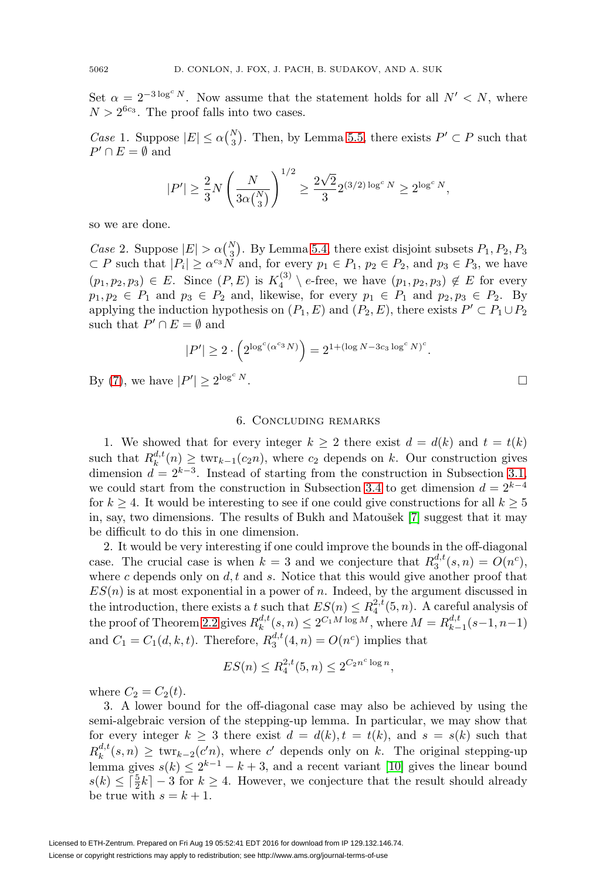Set  $\alpha = 2^{-3 \log^c N}$ . Now assume that the statement holds for all  $N' < N$ , where  $N > 2^{6c_3}$ . The proof falls into two cases.

Case 1. Suppose  $|E| \le \alpha {N \choose 3}$ . Then, by Lemma [5.5,](#page-15-0) there exists  $P' \subset P$  such that  $P' \cap E = \emptyset$  and

$$
|P'| \ge \frac{2}{3} N \left(\frac{N}{3 \alpha \binom{N}{3}}\right)^{1/2} \ge \frac{2 \sqrt{2}}{3} 2^{(3/2) \log^c N} \ge 2^{\log^c N},
$$

so we are done.

Case 2. Suppose  $|E| > \alpha {N \choose 3}$ . By Lemma [5.4,](#page-14-4) there exist disjoint subsets  $P_1, P_2, P_3$  $\subset P$  such that  $|P_i| \ge \alpha^{c_3} N$  and, for every  $p_1 \in P_1$ ,  $p_2 \in P_2$ , and  $p_3 \in P_3$ , we have  $(p_1, p_2, p_3) \in E$ . Since  $(P, E)$  is  $K_4^{(3)} \setminus e$ -free, we have  $(p_1, p_2, p_3) \notin E$  for every  $p_1, p_2 \in P_1$  and  $p_3 \in P_2$  and, likewise, for every  $p_1 \in P_1$  and  $p_2, p_3 \in P_2$ . By applying the induction hypothesis on  $(P_1, E)$  and  $(P_2, E)$ , there exists  $P' \subset P_1 \cup P_2$ such that  $P' \cap E = \emptyset$  and

$$
|P'| \ge 2 \cdot \left( 2^{\log^c(\alpha^{c_3}N)} \right) = 2^{1 + (\log N - 3c_3 \log^c N)^c}.
$$

By [\(7\)](#page-18-0), we have  $|P'| \ge 2^{\log^c N}$ .

## 6. Concluding remarks

1. We showed that for every integer  $k \geq 2$  there exist  $d = d(k)$  and  $t = t(k)$ such that  $R_k^{d,t}(n) \geq \text{twr}_{k-1}(c_2n)$ , where  $c_2$  depends on k. Our construction gives dimension  $d = 2^{k-3}$ . Instead of starting from the construction in Subsection [3.1,](#page-8-1) we could start from the construction in Subsection [3.4](#page-12-0) to get dimension  $d = 2^{k-4}$ for  $k \geq 4$ . It would be interesting to see if one could give constructions for all  $k \geq 5$ in, say, two dimensions. The results of Bukh and Matou $\check{\epsilon}$  [\[7\]](#page-21-16) suggest that it may be difficult to do this in one dimension.

2. It would be very interesting if one could improve the bounds in the off-diagonal case. The crucial case is when  $k = 3$  and we conjecture that  $R_3^{d,t}(s,n) = O(n^c)$ , where c depends only on  $d, t$  and s. Notice that this would give another proof that  $ES(n)$  is at most exponential in a power of n. Indeed, by the argument discussed in the introduction, there exists a t such that  $ES(n) \leq R_4^{2,t}(5,n)$ . A careful analysis of the proof of Theorem [2.2](#page-6-0) gives  $R_k^{d,t}(s,n) \leq 2^{C_1 M \log M}$ , where  $M = R_{k-1}^{d,t}(s-1,n-1)$ and  $C_1 = C_1(d, k, t)$ . Therefore,  $R_3^{d,t}(4, n) = O(n^c)$  implies that

$$
ES(n) \le R_4^{2,t}(5,n) \le 2^{C_2 n^c \log n},
$$

where  $C_2 = C_2(t)$ .

3. A lower bound for the off-diagonal case may also be achieved by using the semi-algebraic version of the stepping-up lemma. In particular, we may show that for every integer  $k \geq 3$  there exist  $d = d(k), t = t(k)$ , and  $s = s(k)$  such that  $R_k^{d,t}(s,n) \geq \text{twr}_{k-2}(c'n),$  where c' depends only on k. The original stepping-up lemma gives  $s(k) \leq 2^{k-1} - k + 3$ , and a recent variant [\[10\]](#page-21-7) gives the linear bound  $s(k) \leq \lceil \frac{5}{2}k \rceil - 3$  for  $k \geq 4$ . However, we conjecture that the result should already be true with  $s = k + 1$ .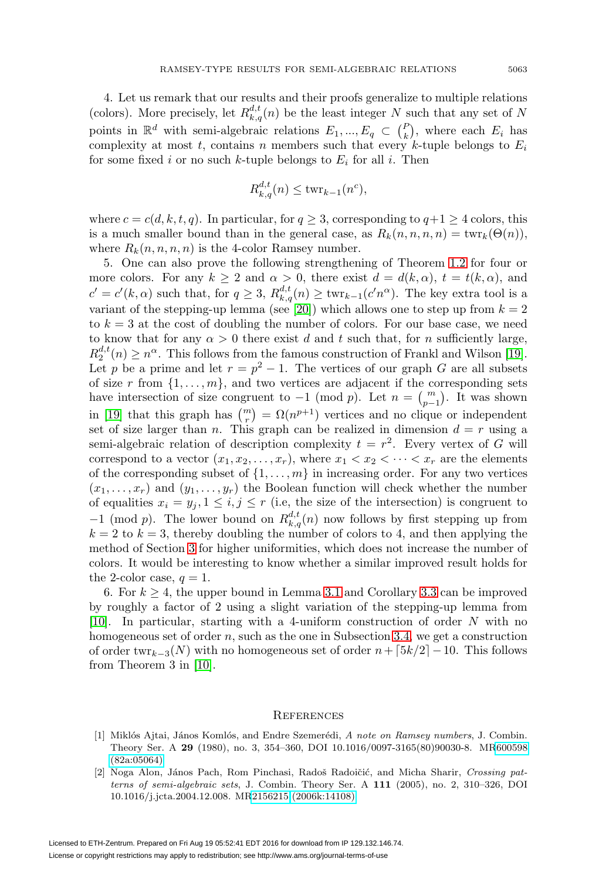4. Let us remark that our results and their proofs generalize to multiple relations (colors). More precisely, let  $R_{k,q}^{d,t}(n)$  be the least integer N such that any set of N points in  $\mathbb{R}^d$  with semi-algebraic relations  $E_1, ..., E_q \subset {P \choose k}$ , where each  $E_i$  has complexity at most t, contains n members such that every k-tuple belongs to  $E_i$ for some fixed i or no such k-tuple belongs to  $E_i$  for all i. Then

$$
R_{k,q}^{d,t}(n) \le \text{twr}_{k-1}(n^c),
$$

where  $c = c(d, k, t, q)$ . In particular, for  $q \ge 3$ , corresponding to  $q+1 \ge 4$  colors, this is a much smaller bound than in the general case, as  $R_k(n, n, n, n) = \text{twr}_k(\Theta(n)),$ where  $R_k(n, n, n, n)$  is the 4-color Ramsey number.

5. One can also prove the following strengthening of Theorem [1.2](#page-3-0) for four or more colors. For any  $k \ge 2$  and  $\alpha > 0$ , there exist  $d = d(k, \alpha)$ ,  $t = t(k, \alpha)$ , and  $c' = c'(k, \alpha)$  such that, for  $q \geq 3$ ,  $R_{k,q}^{d,t}(n) \geq \text{twr}_{k-1}(c'n^{\alpha})$ . The key extra tool is a variant of the stepping-up lemma (see [\[20\]](#page-21-8)) which allows one to step up from  $k = 2$ to  $k = 3$  at the cost of doubling the number of colors. For our base case, we need to know that for any  $\alpha > 0$  there exist d and t such that, for n sufficiently large,  $R_2^{d,t}(n) \geq n^{\alpha}$ . This follows from the famous construction of Frankl and Wilson [\[19\]](#page-21-23). Let p be a prime and let  $r = p^2 - 1$ . The vertices of our graph G are all subsets of size r from  $\{1,\ldots,m\}$ , and two vertices are adjacent if the corresponding sets have intersection of size congruent to  $-1 \pmod{p}$ . Let  $n = \binom{m}{p-1}$ . It was shown in [\[19\]](#page-21-23) that this graph has  $\binom{m}{r} = \Omega(n^{p+1})$  vertices and no clique or independent set of size larger than n. This graph can be realized in dimension  $d = r$  using a semi-algebraic relation of description complexity  $t = r^2$ . Every vertex of G will correspond to a vector  $(x_1, x_2,...,x_r)$ , where  $x_1 < x_2 < \cdots < x_r$  are the elements of the corresponding subset of  $\{1,\ldots,m\}$  in increasing order. For any two vertices  $(x_1,\ldots,x_r)$  and  $(y_1,\ldots,y_r)$  the Boolean function will check whether the number of equalities  $x_i = y_j, 1 \leq i, j \leq r$  (i.e., the size of the intersection) is congruent to  $-1 \pmod{p}$ . The lower bound on  $R_{k,q}^{d,t}(n)$  now follows by first stepping up from  $k = 2$  to  $k = 3$ , thereby doubling the number of colors to 4, and then applying the method of Section [3](#page-8-0) for higher uniformities, which does not increase the number of colors. It would be interesting to know whether a similar improved result holds for the 2-color case,  $q = 1$ .

6. For  $k \geq 4$ , the upper bound in Lemma [3.1](#page-9-0) and Corollary [3.3](#page-10-1) can be improved by roughly a factor of 2 using a slight variation of the stepping-up lemma from [\[10\]](#page-21-7). In particular, starting with a 4-uniform construction of order N with no homogeneous set of order n, such as the one in Subsection [3.4,](#page-12-0) we get a construction of order twr<sub>k−3</sub>(N) with no homogeneous set of order  $n+[5k/2]-10$ . This follows from Theorem 3 in [\[10\]](#page-21-7).

#### **REFERENCES**

- <span id="page-20-1"></span>[1] Miklós Ajtai, János Komlós, and Endre Szemerédi, A note on Ramsey numbers, J. Combin. Theory Ser. A **29** (1980), no. 3, 354–360, DOI 10.1016/0097-3165(80)90030-8. M[R600598](http://www.ams.org/mathscinet-getitem?mr=600598) [\(82a:05064\)](http://www.ams.org/mathscinet-getitem?mr=600598)
- <span id="page-20-0"></span>[2] Noga Alon, János Pach, Rom Pinchasi, Radoš Radoičić, and Micha Sharir, Crossing patterns of semi-algebraic sets, J. Combin. Theory Ser. A **111** (2005), no. 2, 310–326, DOI 10.1016/j.jcta.2004.12.008. M[R2156215 \(2006k:14108\)](http://www.ams.org/mathscinet-getitem?mr=2156215)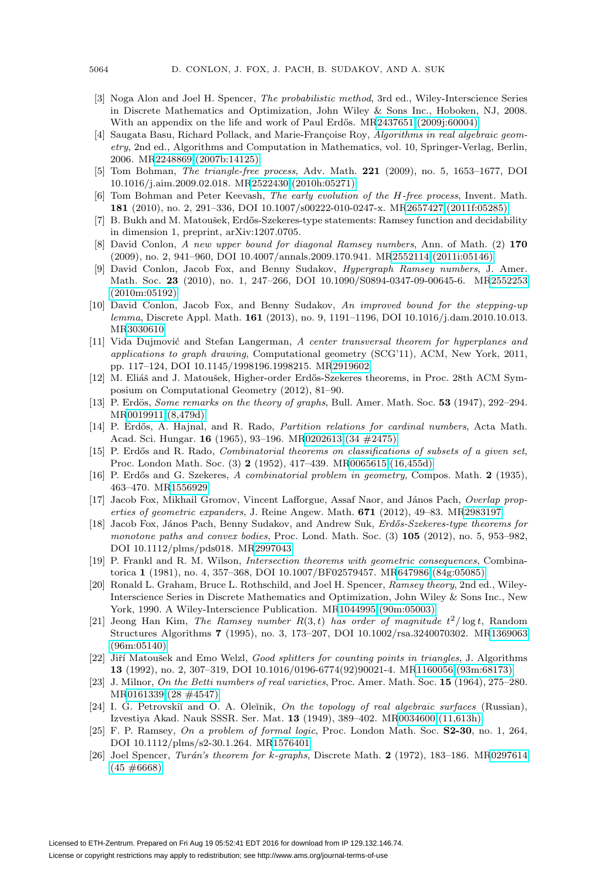- <span id="page-21-21"></span>[3] Noga Alon and Joel H. Spencer, The probabilistic method, 3rd ed., Wiley-Interscience Series in Discrete Mathematics and Optimization, John Wiley & Sons Inc., Hoboken, NJ, 2008. With an appendix on the life and work of Paul Erdős. M[R2437651 \(2009j:60004\)](http://www.ams.org/mathscinet-getitem?mr=2437651)
- <span id="page-21-9"></span>[4] Saugata Basu, Richard Pollack, and Marie-Françoise Roy, Algorithms in real algebraic geometry, 2nd ed., Algorithms and Computation in Mathematics, vol. 10, Springer-Verlag, Berlin, 2006. M[R2248869 \(2007b:14125\)](http://www.ams.org/mathscinet-getitem?mr=2248869)
- <span id="page-21-13"></span>[5] Tom Bohman, The triangle-free process, Adv. Math. **221** (2009), no. 5, 1653–1677, DOI 10.1016/j.aim.2009.02.018. M[R2522430 \(2010h:05271\)](http://www.ams.org/mathscinet-getitem?mr=2522430)
- <span id="page-21-14"></span>[6] Tom Bohman and Peter Keevash, The early evolution of the H-free process, Invent. Math. **181** (2010), no. 2, 291–336, DOI 10.1007/s00222-010-0247-x. M[R2657427 \(2011f:05285\)](http://www.ams.org/mathscinet-getitem?mr=2657427)
- <span id="page-21-16"></span>[7] B. Bukh and M. Matoušek, Erdős-Szekeres-type statements: Ramsey function and decidability in dimension 1, preprint, arXiv:1207.0705.
- <span id="page-21-3"></span>[8] David Conlon, A new upper bound for diagonal Ramsey numbers, Ann. of Math. (2) **170** (2009), no. 2, 941–960, DOI 10.4007/annals.2009.170.941. M[R2552114 \(2011i:05146\)](http://www.ams.org/mathscinet-getitem?mr=2552114)
- <span id="page-21-6"></span>[9] David Conlon, Jacob Fox, and Benny Sudakov, Hypergraph Ramsey numbers, J. Amer. Math. Soc. **23** (2010), no. 1, 247–266, DOI 10.1090/S0894-0347-09-00645-6. M[R2552253](http://www.ams.org/mathscinet-getitem?mr=2552253) [\(2010m:05192\)](http://www.ams.org/mathscinet-getitem?mr=2552253)
- <span id="page-21-7"></span>[10] David Conlon, Jacob Fox, and Benny Sudakov, An improved bound for the stepping-up lemma, Discrete Appl. Math. **161** (2013), no. 9, 1191–1196, DOI 10.1016/j.dam.2010.10.013. M[R3030610](http://www.ams.org/mathscinet-getitem?mr=3030610)
- <span id="page-21-11"></span>[11] Vida Dujmović and Stefan Langerman, A center transversal theorem for hyperplanes and applications to graph drawing, Computational geometry (SCG'11), ACM, New York, 2011, pp. 117–124, DOI 10.1145/1998196.1998215. M[R2919602](http://www.ams.org/mathscinet-getitem?mr=2919602)
- <span id="page-21-10"></span>[12] M. Eliáš and J. Matoušek, Higher-order Erdős-Szekeres theorems, in Proc. 28th ACM Symposium on Computational Geometry (2012), 81–90.
- <span id="page-21-1"></span>[13] P. Erdös, Some remarks on the theory of graphs, Bull. Amer. Math. Soc. 53 (1947), 292–294. M[R0019911 \(8,479d\)](http://www.ams.org/mathscinet-getitem?mr=0019911)
- <span id="page-21-4"></span>[14] P. Erdős, A. Hajnal, and R. Rado, *Partition relations for cardinal numbers*, Acta Math. Acad. Sci. Hungar. **16** (1965), 93–196. M[R0202613 \(34 #2475\)](http://www.ams.org/mathscinet-getitem?mr=0202613)
- <span id="page-21-5"></span>[15] P. Erdős and R. Rado, *Combinatorial theorems on classifications of subsets of a given set*, Proc. London Math. Soc. (3) **2** (1952), 417–439. M[R0065615 \(16,455d\)](http://www.ams.org/mathscinet-getitem?mr=0065615)
- <span id="page-21-2"></span>[16] P. Erdős and G. Szekeres, A combinatorial problem in geometry, Compos. Math. 2 (1935), 463–470. M[R1556929](http://www.ams.org/mathscinet-getitem?mr=1556929)
- <span id="page-21-20"></span>[17] Jacob Fox, Mikhail Gromov, Vincent Lafforgue, Assaf Naor, and János Pach, Overlap properties of geometric expanders, J. Reine Angew. Math. **671** (2012), 49–83. M[R2983197](http://www.ams.org/mathscinet-getitem?mr=2983197)
- <span id="page-21-19"></span>[18] Jacob Fox, János Pach, Benny Sudakov, and Andrew Suk, Erdős-Szekeres-type theorems for monotone paths and convex bodies, Proc. Lond. Math. Soc. (3) **105** (2012), no. 5, 953–982, DOI 10.1112/plms/pds018. M[R2997043](http://www.ams.org/mathscinet-getitem?mr=2997043)
- <span id="page-21-23"></span>[19] P. Frankl and R. M. Wilson, Intersection theorems with geometric consequences, Combinatorica **1** (1981), no. 4, 357–368, DOI 10.1007/BF02579457. M[R647986 \(84g:05085\)](http://www.ams.org/mathscinet-getitem?mr=647986)
- <span id="page-21-8"></span>[20] Ronald L. Graham, Bruce L. Rothschild, and Joel H. Spencer, Ramsey theory, 2nd ed., Wiley-Interscience Series in Discrete Mathematics and Optimization, John Wiley & Sons Inc., New York, 1990. A Wiley-Interscience Publication. M[R1044995 \(90m:05003\)](http://www.ams.org/mathscinet-getitem?mr=1044995)
- <span id="page-21-15"></span>[21] Jeong Han Kim, The Ramsey number  $R(3,t)$  has order of magnitude  $t^2/\log t$ , Random Structures Algorithms **7** (1995), no. 3, 173–207, DOI 10.1002/rsa.3240070302. M[R1369063](http://www.ams.org/mathscinet-getitem?mr=1369063) [\(96m:05140\)](http://www.ams.org/mathscinet-getitem?mr=1369063)
- <span id="page-21-12"></span>[22] Jiří Matoušek and Emo Welzl, Good splitters for counting points in triangles, J. Algorithms **13** (1992), no. 2, 307–319, DOI 10.1016/0196-6774(92)90021-4. M[R1160056 \(93m:68173\)](http://www.ams.org/mathscinet-getitem?mr=1160056)
- <span id="page-21-17"></span>[23] J. Milnor, On the Betti numbers of real varieties, Proc. Amer. Math. Soc. **15** (1964), 275–280. M[R0161339 \(28 #4547\)](http://www.ams.org/mathscinet-getitem?mr=0161339)
- <span id="page-21-18"></span>[24] I. G. Petrovskiĭ and O. A. Oleĭnik, On the topology of real algebraic surfaces (Russian), Izvestiya Akad. Nauk SSSR. Ser. Mat. **13** (1949), 389–402. M[R0034600 \(11,613h\)](http://www.ams.org/mathscinet-getitem?mr=0034600)
- <span id="page-21-0"></span>[25] F. P. Ramsey, On a problem of formal logic, Proc. London Math. Soc. **S2-30**, no. 1, 264, DOI 10.1112/plms/s2-30.1.264. M[R1576401](http://www.ams.org/mathscinet-getitem?mr=1576401)
- <span id="page-21-22"></span>[26] Joel Spencer, *Turán's theorem for k-graphs*, Discrete Math. **2** (1972), 183-186. M[R0297614](http://www.ams.org/mathscinet-getitem?mr=0297614)  $(45 \neq 6668)$